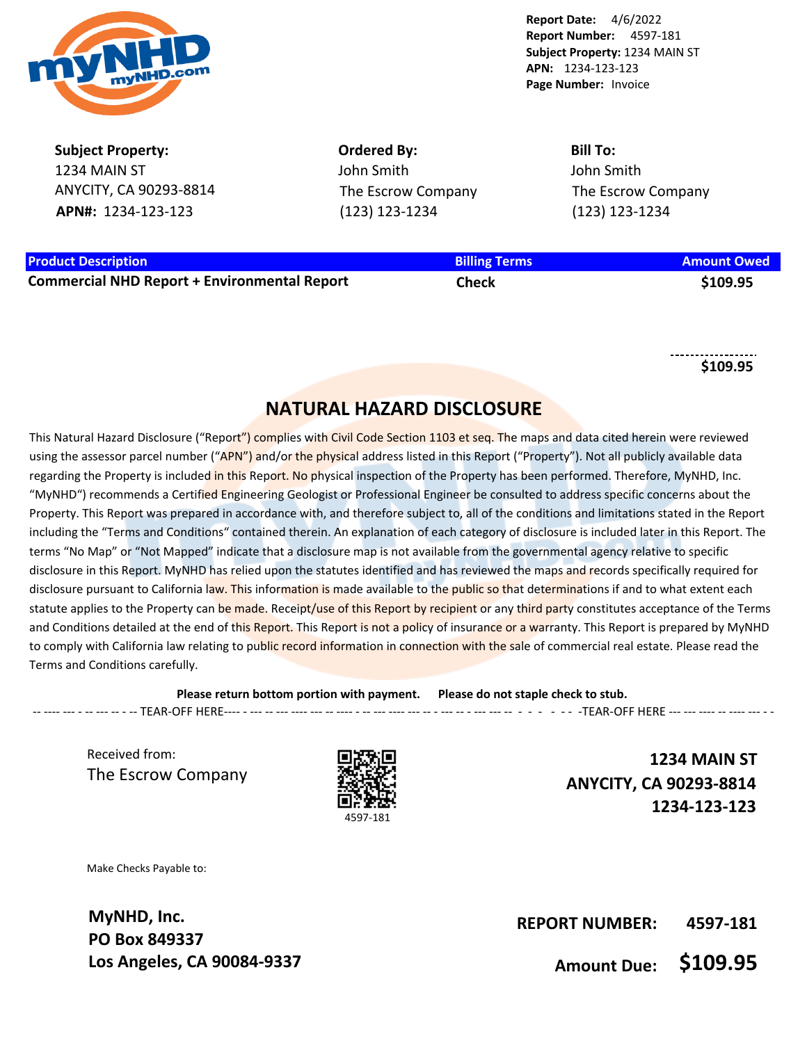

**Subject Property:** 1234 MAIN ST ANYCITY, CA 90293-8814 **APN#:** 1234-123-123

**Ordered By:** John Smith The Escrow Company (123) 123-1234

**Bill To:** John Smith The Escrow Company (123) 123-1234

## **Product Description Billing Terms Amount Owed**

**Commercial NHD Report + Environmental Report Check \$109.95**

**\$109.95**

## **NATURAL HAZARD DISCLOSURE**

This Natural Hazard Disclosure ("Report") complies with Civil Code Section 1103 et seg. The maps and data cited herein were reviewed using the assessor parcel number ("APN") and/or the physical address listed in this Report ("Property"). Not all publicly available data regarding the Property is included in this Report. No physical inspection of the Property has been performed. Therefore, MyNHD, Inc. "MyNHD") recommends a Certified Engineering Geologist or Professional Engineer be consulted to address specific concerns about the Property. This Report was prepared in accordance with, and therefore subject to, all of the conditions and limitations stated in the Report including the "Terms and Conditions" contained therein. An explanation of each category of disclosure is included later in this Report. The terms "No Map" or "Not Mapped" indicate that a disclosure map is not available from the governmental agency relative to specific disclosure in this Report. MyNHD has relied upon the statutes identified and has reviewed the maps and records specifically required for disclosure pursuant to California law. This information is made available to the public so that determinations if and to what extent each statute applies to the Property can be made. Receipt/use of this Report by recipient or any third party constitutes acceptance of the Terms and Conditions detailed at the end of this Report. This Report is not a policy of insurance or a warranty. This Report is prepared by MyNHD to comply with California law relating to public record information in connection with the sale of commercial real estate. Please read the Terms and Conditions carefully.

**Please return bottom portion with payment. Please do not staple check to stub.**  -- ---- --- - -- --- -- - -- TEAR-OFF HERE---- - --- -- --- ---- --- -- ---- - -- --- ---- --- -- - --- -- - --- --- -- - - - - - - -TEAR-OFF HERE --- --- ---- -- ---- --- - -

Received from: The Escrow Company



**1234 MAIN ST ANYCITY, CA 90293-8814 1234-123-123**

Make Checks Payable to:

**MyNHD, Inc. PO Box 849337 Los Angeles, CA 90084-9337**

**REPORT NUMBER: 4597-181**

**Amount Due: \$109.95**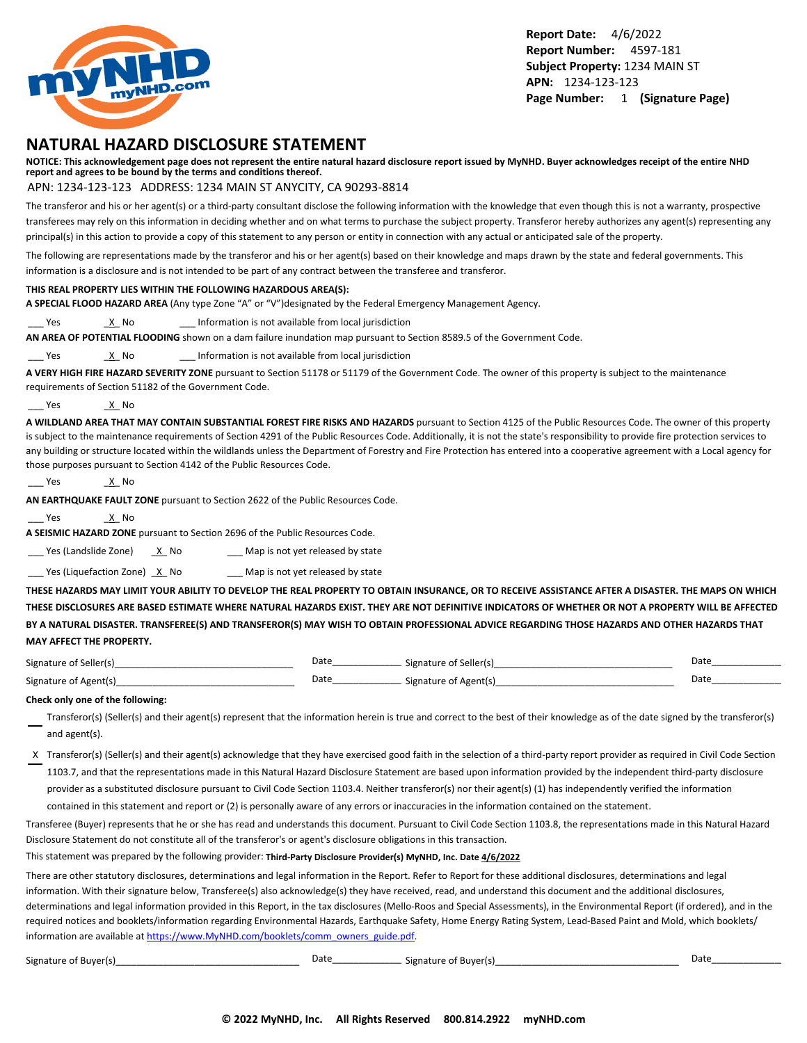

## **NATURAL HAZARD DISCLOSURE STATEMENT**

**NOTICE: This acknowledgement page does not represent the entire natural hazard disclosure report issued by MyNHD. Buyer acknowledges receipt of the entire NHD report and agrees to be bound by the terms and conditions thereof.**

#### APN: 1234-123-123 ADDRESS: 1234 MAIN ST ANYCITY, CA 90293-8814

The transferor and his or her agent(s) or a third-party consultant disclose the following information with the knowledge that even though this is not a warranty, prospective transferees may rely on this information in deciding whether and on what terms to purchase the subject property. Transferor hereby authorizes any agent(s) representing any principal(s) in this action to provide a copy of this statement to any person or entity in connection with any actual or anticipated sale of the property.

The following are representations made by the transferor and his or her agent(s) based on their knowledge and maps drawn by the state and federal governments. This information is a disclosure and is not intended to be part of any contract between the transferee and transferor.

#### **THIS REAL PROPERTY LIES WITHIN THE FOLLOWING HAZARDOUS AREA(S):**

**A SPECIAL FLOOD HAZARD AREA** (Any type Zone "A" or "V")designated by the Federal Emergency Management Agency.

Yes X No 2011 Information is not available from local jurisdiction

**AN AREA OF POTENTIAL FLOODING** shown on a dam failure inundation map pursuant to Section 8589.5 of the Government Code.

Yes X No 2011 Information is not available from local jurisdiction

**A VERY HIGH FIRE HAZARD SEVERITY ZONE** pursuant to Section 51178 or 51179 of the Government Code. The owner of this property is subject to the maintenance requirements of Section 51182 of the Government Code.

Yes X No.

**A WILDLAND AREA THAT MAY CONTAIN SUBSTANTIAL FOREST FIRE RISKS AND HAZARDS** pursuant to Section 4125 of the Public Resources Code. The owner of this property is subject to the maintenance requirements of Section 4291 of the Public Resources Code. Additionally, it is not the state's responsibility to provide fire protection services to any building or structure located within the wildlands unless the Department of Forestry and Fire Protection has entered into a cooperative agreement with a Local agency for those purposes pursuant to Section 4142 of the Public Resources Code.

```
___ Yes _X_ No
```
**AN EARTHQUAKE FAULT ZONE** pursuant to Section 2622 of the Public Resources Code.

Yes X No

**A SEISMIC HAZARD ZONE** pursuant to Section 2696 of the Public Resources Code.

 $\frac{1}{2}$  Yes (Landslide Zone)  $\frac{X}{X}$  No  $\frac{1}{2}$  Map is not yet released by state

 $\frac{1}{2}$  Yes (Liquefaction Zone)  $\frac{X}{X}$  No  $\frac{1}{2}$  Map is not yet released by state

**THESE HAZARDS MAY LIMIT YOUR ABILITY TO DEVELOP THE REAL PROPERTY TO OBTAIN INSURANCE, OR TO RECEIVE ASSISTANCE AFTER A DISASTER. THE MAPS ON WHICH THESE DISCLOSURES ARE BASED ESTIMATE WHERE NATURAL HAZARDS EXIST. THEY ARE NOT DEFINITIVE INDICATORS OF WHETHER OR NOT A PROPERTY WILL BE AFFECTED BY A NATURAL DISASTER. TRANSFEREE(S) AND TRANSFEROR(S) MAY WISH TO OBTAIN PROFESSIONAL ADVICE REGARDING THOSE HAZARDS AND OTHER HAZARDS THAT MAY AFFECT THE PROPERTY.**

| Signature of Seller(s) | Date | Signature of Seller(s) | Date |
|------------------------|------|------------------------|------|
| Signature of Agent(s)  | Date | Signature of Agent(s)  | Date |

#### **Check only one of the following:**

- Transferor(s) (Seller(s) and their agent(s) represent that the information herein is true and correct to the best of their knowledge as of the date signed by the transferor(s) and agent(s).
- X Transferor(s) (Seller(s) and their agent(s) acknowledge that they have exercised good faith in the selection of a third-party report provider as required in Civil Code Section 1103.7, and that the representations made in this Natural Hazard Disclosure Statement are based upon information provided by the independent third-party disclosure provider as a substituted disclosure pursuant to Civil Code Section 1103.4. Neither transferor(s) nor their agent(s) (1) has independently verified the information

contained in this statement and report or (2) is personally aware of any errors or inaccuracies in the information contained on the statement.

Transferee (Buyer) represents that he or she has read and understands this document. Pursuant to Civil Code Section 1103.8, the representations made in this Natural Hazard Disclosure Statement do not constitute all of the transferor's or agent's disclosure obligations in this transaction.

This statement was prepared by the following provider: **Third-Party Disclosure Provider(s) MyNHD, Inc. Date 4/6/2022**

There are other statutory disclosures, determinations and legal information in the Report. Refer to Report for these additional disclosures, determinations and legal information. With their signature below, Transferee(s) also acknowledge(s) they have received, read, and understand this document and the additional disclosures, determinations and legal information provided in this Report, in the tax disclosures (Mello-Roos and Special Assessments), in the Environmental Report (if ordered), and in the required notices and booklets/information regarding Environmental Hazards, Earthquake Safety, Home Energy Rating System, Lead-Based Paint and Mold, which booklets/ information are available at [https://www.MyNHD.com/booklets/comm\\_owners\\_guide.pdf](https://www.MyNHD.com/booklets/comm_owners_guide.pdf).

| ignature of Buyer(s) |  |  |
|----------------------|--|--|
|----------------------|--|--|

Signature of Buyer(s)\_\_\_\_\_\_\_\_\_\_\_\_\_\_\_\_\_\_\_\_\_\_\_\_\_\_\_\_\_\_\_\_\_\_\_ Date\_\_\_\_\_\_\_\_\_\_\_\_\_\_\_\_\_\_\_\_\_\_\_\_ Signature of Buyer(s)\_\_\_\_\_\_\_\_\_\_\_\_\_\_\_\_\_\_\_\_\_\_\_\_\_\_\_\_\_\_\_\_\_\_\_ Date\_\_\_\_\_\_\_\_\_\_\_\_\_\_\_\_\_\_\_\_\_\_\_\_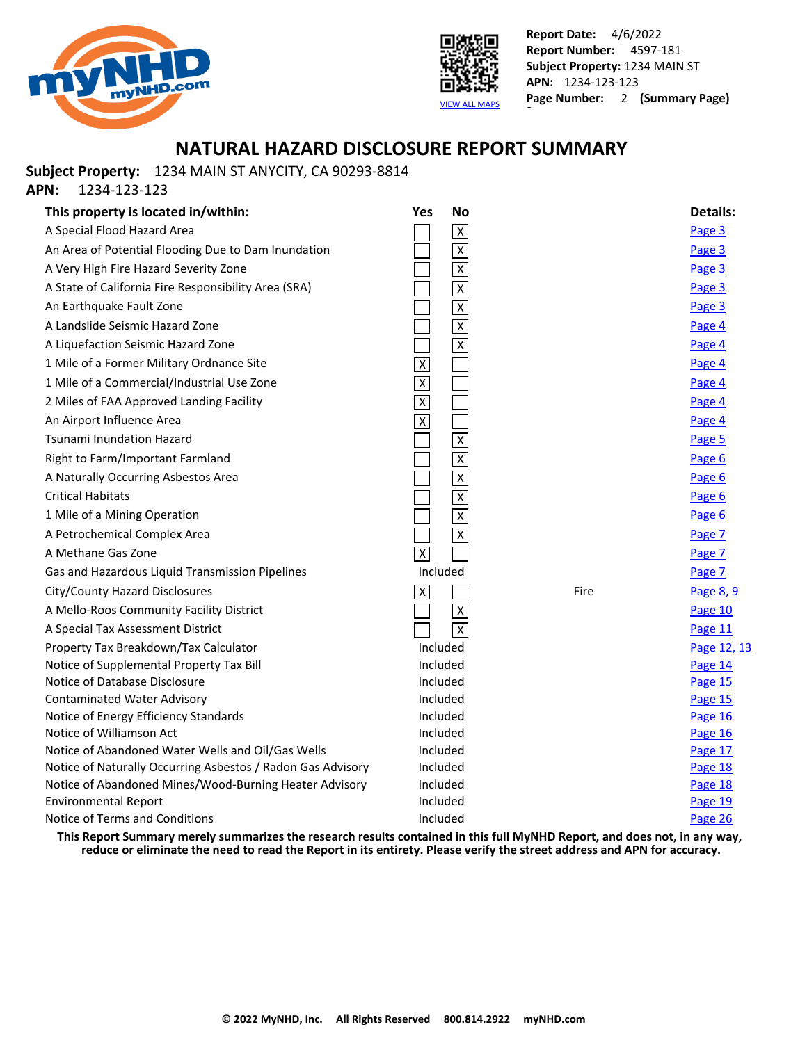



## **NATURAL HAZARD DISCLOSURE REPORT SUMMARY**

**Subject Property:** 1234 MAIN ST ANYCITY, CA 90293-8814

**APN:** 1234-123-123

| This property is located in/within:                         | <b>No</b><br>Yes        |      | <b>Details:</b> |
|-------------------------------------------------------------|-------------------------|------|-----------------|
| A Special Flood Hazard Area                                 | $\overline{X}$          |      | Page 3          |
| An Area of Potential Flooding Due to Dam Inundation         | $\overline{\mathsf{x}}$ |      | Page 3          |
| A Very High Fire Hazard Severity Zone                       | $\overline{\mathsf{x}}$ |      | Page 3          |
| A State of California Fire Responsibility Area (SRA)        | $\overline{\mathsf{X}}$ |      | Page 3          |
| An Earthquake Fault Zone                                    | $\overline{\mathsf{x}}$ |      | Page 3          |
| A Landslide Seismic Hazard Zone                             | $\overline{\mathsf{X}}$ |      | Page 4          |
| A Liquefaction Seismic Hazard Zone                          | $\overline{X}$          |      | Page 4          |
| 1 Mile of a Former Military Ordnance Site                   | $\overline{X}$          |      | Page 4          |
| 1 Mile of a Commercial/Industrial Use Zone                  | $\overline{\mathsf{X}}$ |      | Page 4          |
| 2 Miles of FAA Approved Landing Facility                    | $\overline{\mathsf{x}}$ |      | Page 4          |
| An Airport Influence Area                                   | $\overline{\mathsf{X}}$ |      | Page 4          |
| Tsunami Inundation Hazard                                   | $\overline{x}$          |      | Page 5          |
| Right to Farm/Important Farmland                            | $\overline{\mathsf{x}}$ |      | Page 6          |
| A Naturally Occurring Asbestos Area                         | $\overline{\mathsf{x}}$ |      | Page 6          |
| <b>Critical Habitats</b>                                    | $\overline{\mathsf{x}}$ |      | Page 6          |
| 1 Mile of a Mining Operation                                | $\overline{\mathsf{x}}$ |      | Page 6          |
| A Petrochemical Complex Area                                | $\overline{X}$          |      | Page 7          |
| A Methane Gas Zone                                          | $\overline{x}$          |      | Page 7          |
| Gas and Hazardous Liquid Transmission Pipelines             | Included                |      | Page 7          |
| City/County Hazard Disclosures                              | $\overline{X}$          | Fire | Page 8, 9       |
| A Mello-Roos Community Facility District                    | $\overline{X}$          |      | Page 10         |
| A Special Tax Assessment District                           | $\overline{X}$          |      | Page 11         |
| Property Tax Breakdown/Tax Calculator                       | Included                |      | Page 12, 13     |
| Notice of Supplemental Property Tax Bill                    | Included                |      | Page 14         |
| Notice of Database Disclosure                               | Included                |      | Page 15         |
| <b>Contaminated Water Advisory</b>                          | Included                |      | Page 15         |
| Notice of Energy Efficiency Standards                       | Included                |      | Page 16         |
| Notice of Williamson Act                                    | Included                |      | Page 16         |
| Notice of Abandoned Water Wells and Oil/Gas Wells           | Included                |      | Page 17         |
| Notice of Naturally Occurring Asbestos / Radon Gas Advisory | Included                |      | Page 18         |
| Notice of Abandoned Mines/Wood-Burning Heater Advisory      | Included                |      | Page 18         |
| <b>Environmental Report</b>                                 | Included                |      | Page 19         |
| Notice of Terms and Conditions                              | Included                |      | Page 26         |

**This Report Summary merely summarizes the research results contained in this full MyNHD Report, and does not, in any way, reduce or eliminate the need to read the Report in its entirety. Please verify the street address and APN for accuracy.**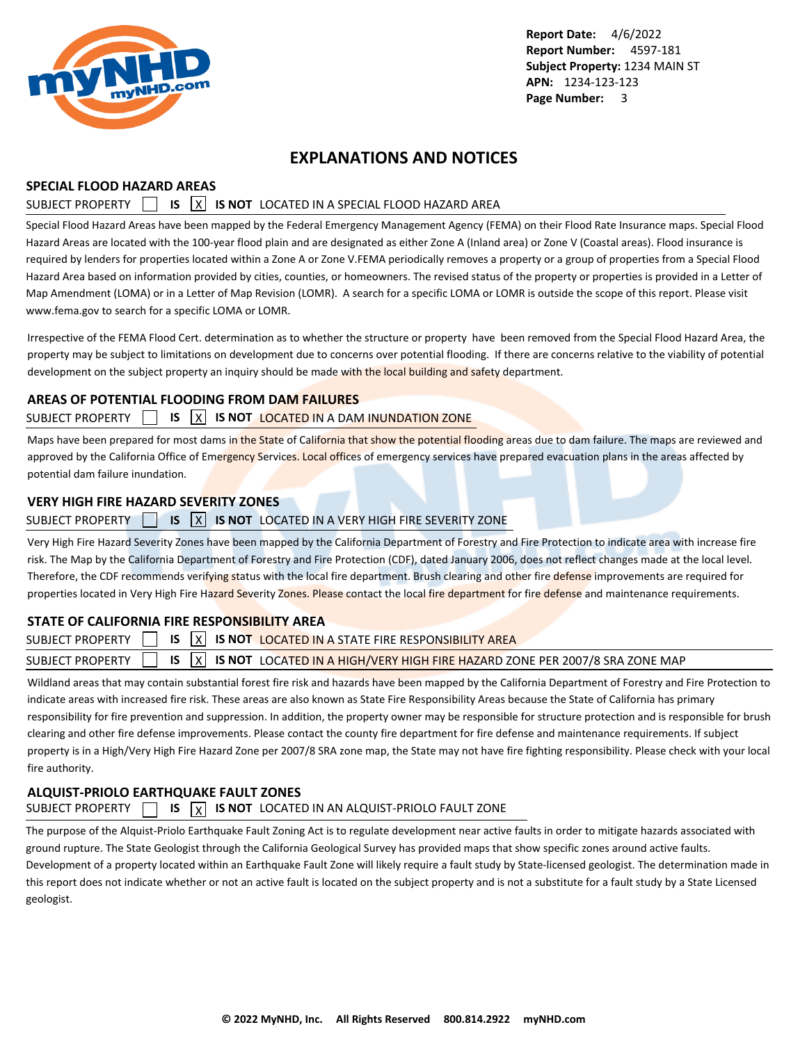<span id="page-3-0"></span>

## **EXPLANATIONS AND NOTICES**

### **SPECIAL FLOOD HAZARD AREAS**

## SUBJECT PROPERTY **15 X IS NOT** LOCATED IN A SPECIAL FLOOD HAZARD AREA

Special Flood Hazard Areas have been mapped by the Federal Emergency Management Agency (FEMA) on their Flood Rate Insurance maps. Special Flood Hazard Areas are located with the 100-year flood plain and are designated as either Zone A (Inland area) or Zone V (Coastal areas). Flood insurance is required by lenders for properties located within a Zone A or Zone V.FEMA periodically removes a property or a group of properties from a Special Flood Hazard Area based on information provided by cities, counties, or homeowners. The revised status of the property or properties is provided in a Letter of Map Amendment (LOMA) or in a Letter of Map Revision (LOMR). A search for a specific LOMA or LOMR is outside the scope of this report. Please visit www.fema.gov to search for a specific LOMA or LOMR.

Irrespective of the FEMA Flood Cert. determination as to whether the structure or property have been removed from the Special Flood Hazard Area, the property may be subject to limitations on development due to concerns over potential flooding. If there are concerns relative to the viability of potential development on the subject property an inquiry should be made with the local building and safety department.

### **AREAS OF POTENTIAL FLOODING FROM DAM FAILURES**

### SUBJECT PROPERTY **IS X IS NOT LOCATED IN A DAM INUNDATION ZONE**

Maps have been prepared for most dams in the State of California that show the potential flooding areas due to dam failure. The maps are reviewed and approved by the California Office of Emergency Services. Local offices of emergency services have prepared evacuation plans in the areas affected by potential dam failure inundation.

### **VERY HIGH FIRE HAZARD SEVERITY ZONES**

### SUBJECT PROPERTY **15 IS X IS NOT** LOCATED IN A VERY HIGH FIRE SEVERITY ZONE

Very High Fire Hazard Severity Zones have been mapped by the California Department of Forestry and Fire Protection to indicate area with increase fire risk. The Map by the California Department of Forestry and Fire Protection (CDF), dated January 2006, does not reflect changes made at the local level. Therefore, the CDF recommends verifying status with the local fire department. Brush clearing and other fire defense improvements are required for properties located in Very High Fire Hazard Severity Zones. Please contact the local fire department for fire defense and maintenance requirements.

## **STATE OF CALIFORNIA FIRE RESPONSIBILITY AREA**

|  |  | SUBJECT PROPERTY $\Box$ IS $\overline{X}$ IS not located in a state fire responsibility area                       |  |
|--|--|--------------------------------------------------------------------------------------------------------------------|--|
|  |  | SUBJECT PROPERTY $\Box$ IS $\boxed{X}$ IS NOT LOCATED IN A HIGH/VERY HIGH FIRE HAZARD ZONE PER 2007/8 SRA ZONE MAP |  |

Wildland areas that may contain substantial forest fire risk and hazards have been mapped by the California Department of Forestry and Fire Protection to indicate areas with increased fire risk. These areas are also known as State Fire Responsibility Areas because the State of California has primary responsibility for fire prevention and suppression. In addition, the property owner may be responsible for structure protection and is responsible for brush clearing and other fire defense improvements. Please contact the county fire department for fire defense and maintenance requirements. If subject property is in a High/Very High Fire Hazard Zone per 2007/8 SRA zone map, the State may not have fire fighting responsibility. Please check with your local fire authority.

## **ALQUIST-PRIOLO EARTHQUAKE FAULT ZONES**

## SUBJECT PROPERTY  $\Box$  **IS**  $\vert x \vert$  **IS NOT** LOCATED IN AN ALQUIST-PRIOLO FAULT ZONE

The purpose of the Alquist-Priolo Earthquake Fault Zoning Act is to regulate development near active faults in order to mitigate hazards associated with ground rupture. The State Geologist through the California Geological Survey has provided maps that show specific zones around active faults. Development of a property located within an Earthquake Fault Zone will likely require a fault study by State-licensed geologist. The determination made in this report does not indicate whether or not an active fault is located on the subject property and is not a substitute for a fault study by a State Licensed geologist.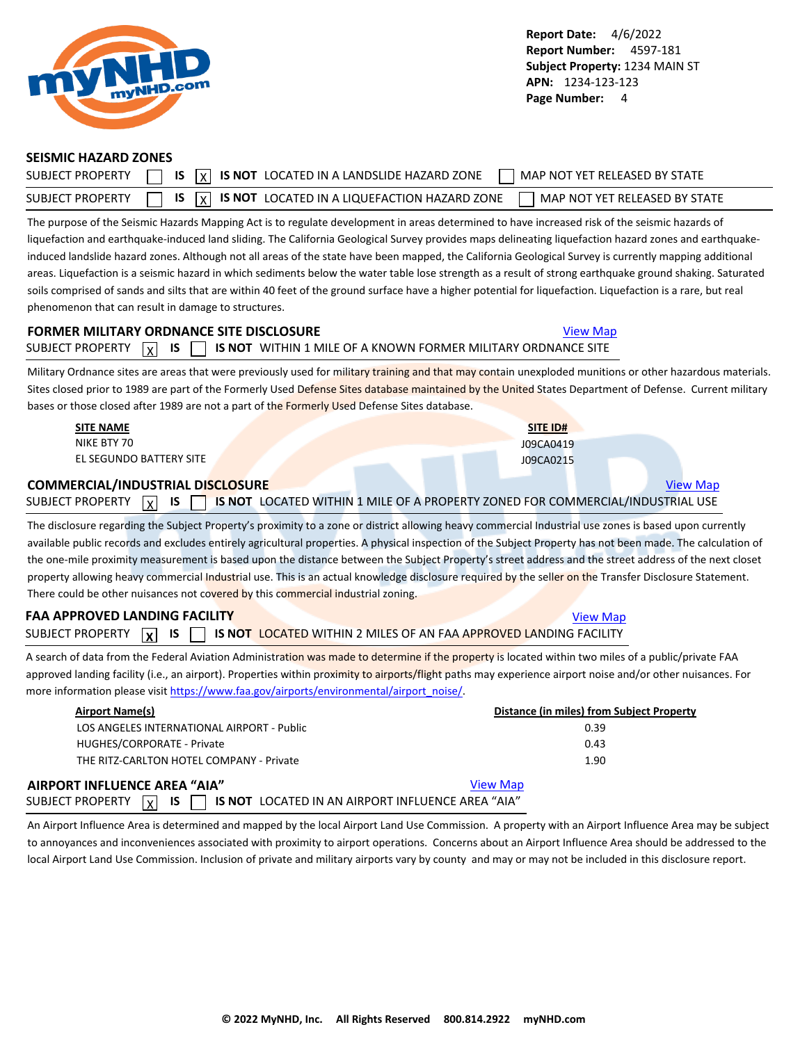<span id="page-4-0"></span>

#### **SEISMIC HAZARD ZONES**

| <b>SUBJECT PROPERTY</b> | $\overline{X}$ $\overline{X}$ is $\overline{X}$ is not located in a landslide hazard zone<br>MAP NOT YET RELEASED BY STATE |  |
|-------------------------|----------------------------------------------------------------------------------------------------------------------------|--|
| SUBJECT PROPERTY        | $\sqrt{1}$ IS $\sqrt{X}$ IS NOT LOCATED IN A LIQUEFACTION HAZARD ZONE<br>MAP NOT YET RELEASED BY STATE                     |  |

The purpose of the Seismic Hazards Mapping Act is to regulate development in areas determined to have increased risk of the seismic hazards of liquefaction and earthquake-induced land sliding. The California Geological Survey provides maps delineating liquefaction hazard zones and earthquakeinduced landslide hazard zones. Although not all areas of the state have been mapped, the California Geological Survey is currently mapping additional areas. Liquefaction is a seismic hazard in which sediments below the water table lose strength as a result of strong earthquake ground shaking. Saturated soils comprised of sands and silts that are within 40 feet of the ground surface have a higher potential for liquefaction. Liquefaction is a rare, but real phenomenon that can result in damage to structures.

## **FORMER MILITARY ORDNANCE SITE DISCLOSURE [View Map](https://www.mynhd.com/hazardmaps/1719230/814972)** View Map SUBJECT PROPERTY  $\boxed{\chi}$  **IS**  $\boxed{\phantom{\chi}}$  **is not** within 1 mile of a known former military ordnance site

Military Ordnance sites are areas that were previously used for military training and that may contain unexploded munitions or other hazardous materials. Sites closed prior to 1989 are part of the Formerly Used Defense Sites database maintained by the United States Department of Defense. Current military bases or those closed after 1989 are not a part of the Formerly Used Defense Sites database.

| <b>SITE NAME</b>                                           |  | SITE ID#                                                                       |  |  |  |
|------------------------------------------------------------|--|--------------------------------------------------------------------------------|--|--|--|
| NIKE BTY 70                                                |  | J09CA0419                                                                      |  |  |  |
| EL SEGUNDO BATTERY SITE                                    |  | J09CA0215                                                                      |  |  |  |
| <b>COMMERCIAL/INDUSTRIAL DISCLOSURE</b><br><b>View Map</b> |  |                                                                                |  |  |  |
| <b>IS</b><br>SUBJECT PROPERTY<br>x                         |  | IS NOT LOCATED WITHIN 1 MILE OF A PROPERTY ZONED FOR COMMERCIAL/INDUSTRIAL USE |  |  |  |

The disclosure regarding the Subject Property's proximity to a zone or district allowing heavy commercial Industrial use zones is based upon currently available public records and excludes entirely agricultural properties. A physical inspection of the Subject Property has not been made. The calculation of the one-mile proximity measurement is based upon the distance between the Subject Property's street address and the street address of the next closet property allowing heavy commercial Industrial use. This is an actual knowledge disclosure required by the seller on the Transfer Disclosure Statement. There could be other nuisances not covered by this commercial industrial zoning.

## **FAA APPROVED LANDING FACILITY [View Map](https://www.mynhd.com/hazardmaps/1719236/814972)** View Map SUBJECT PROPERTY **X IS TUBBEL IS NOT LOCATED WITHIN 2 MILES OF AN FAA APPROVED LANDING FACILITY**

A search of data from the Federal Aviation Administration was made to determine if the property is located within two miles of a public/private FAA approved landing facility (i.e., an airport). Properties within proximity to airports/flight paths may experience airport noise and/or other nuisances. For more information please visit [https://www.faa.gov/airports/environmental/airport\\_noise/](https://www.faa.gov/airports/environmental/airport_noise/).

| <b>Airport Name(s)</b>                                                                      | Distance (in miles) from Subject Property |
|---------------------------------------------------------------------------------------------|-------------------------------------------|
| LOS ANGELES INTERNATIONAL AIRPORT - Public                                                  | 0.39                                      |
| HUGHES/CORPORATE - Private                                                                  | 0.43                                      |
| THE RITZ-CARLTON HOTEL COMPANY - Private                                                    | 1.90                                      |
| AIRPORT INFLUENCE AREA "AIA"                                                                | <b>View Map</b>                           |
| <b>IS</b> 1<br>IS NOT LOCATED IN AN AIRPORT INFLUENCE AREA "AIA"<br> x <br>SUBJECT PROPERTY |                                           |

An Airport Influence Area is determined and mapped by the local Airport Land Use Commission. A property with an Airport Influence Area may be subject to annoyances and inconveniences associated with proximity to airport operations. Concerns about an Airport Influence Area should be addressed to the local Airport Land Use Commission. Inclusion of private and military airports vary by county and may or may not be included in this disclosure report.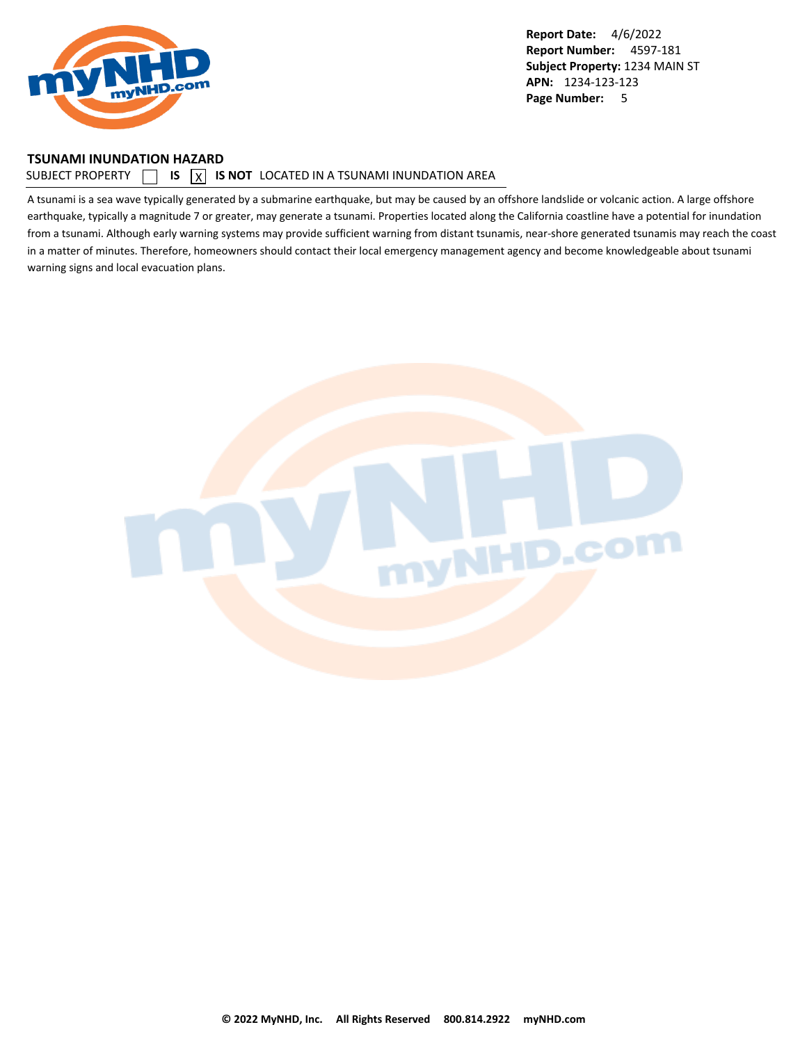<span id="page-5-0"></span>

#### **TSUNAMI INUNDATION HAZARD**

#### SUBJECT PROPERTY  $\Box$  **IS**  $\Box$  **IS NOT** LOCATED IN A TSUNAMI INUNDATION AREA

A tsunami is a sea wave typically generated by a submarine earthquake, but may be caused by an offshore landslide or volcanic action. A large offshore earthquake, typically a magnitude 7 or greater, may generate a tsunami. Properties located along the California coastline have a potential for inundation from a tsunami. Although early warning systems may provide sufficient warning from distant tsunamis, near-shore generated tsunamis may reach the coast in a matter of minutes. Therefore, homeowners should contact their local emergency management agency and become knowledgeable about tsunami warning signs and local evacuation plans.

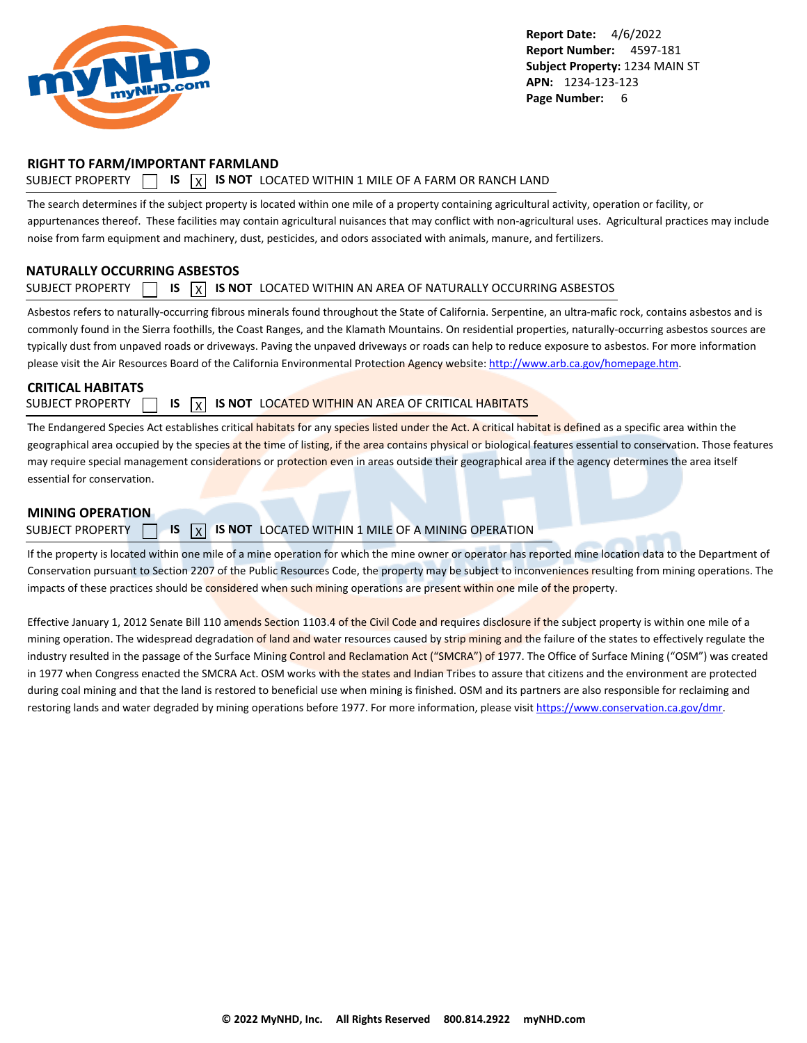<span id="page-6-0"></span>

### **RIGHT TO FARM/IMPORTANT FARMLAND**

### SUBJECT PROPERTY  $\Box$  **IS**  $\overline{X}$  **IS NOT** LOCATED WITHIN 1 MILE OF A FARM OR RANCH LAND

The search determines if the subject property is located within one mile of a property containing agricultural activity, operation or facility, or appurtenances thereof. These facilities may contain agricultural nuisances that may conflict with non-agricultural uses. Agricultural practices may include noise from farm equipment and machinery, dust, pesticides, and odors associated with animals, manure, and fertilizers.

### **NATURALLY OCCURRING ASBESTOS**

#### SUBJECT PROPERTY  $\Box$  **IS**  $\overline{X}$  **IS NOT** LOCATED WITHIN AN AREA OF NATURALLY OCCURRING ASBESTOS

Asbestos refers to naturally-occurring fibrous minerals found throughout the State of California. Serpentine, an ultra-mafic rock, contains asbestos and is commonly found in the Sierra foothills, the Coast Ranges, and the Klamath Mountains. On residential properties, naturally-occurring asbestos sources are typically dust from unpaved roads or driveways. Paving the unpaved driveways or roads can help to reduce exposure to asbestos. For more information please visit the Air Resources Board of the California Environmental Protection Agency website:<http://www.arb.ca.gov/homepage.htm>.

### **CRITICAL HABITATS**

SUBJECT PROPERTY **15 IS X IS NOT** LOCATED WITHIN AN AREA OF CRITICAL HABITATS

The Endangered Species Act establishes critical habitats for any species listed under the Act. A critical habitat is defined as a specific area within the geographical area occupied by the species at the time of listing, if the area contains physical or biological features essential to conservation. Those features may require special management considerations or protection even in areas outside their geographical area if the agency determines the area itself essential for conservation.

#### **MINING OPERATION**

### SUBJECT PROPERTY **15 X IS NOT** LOCATED WITHIN 1 MILE OF A MINING OPERATION

If the property is located within one mile of a mine operation for which the mine owner or operator has reported mine location data to the Department of Conservation pursuant to Section 2207 of the Public Resources Code, the property may be subject to inconveniences resulting from mining operations. The impacts of these practices should be considered when such mining operations are present within one mile of the property.

Effective January 1, 2012 Senate Bill 110 amends Section 1103.4 of the Civil Code and requires disclosure if the subject property is within one mile of a mining operation. The widespread degradation of land and water resources caused by strip mining and the failure of the states to effectively regulate the industry resulted in the passage of the Surface Mining Control and Reclamation Act ("SMCRA") of 1977. The Office of Surface Mining ("OSM") was created in 1977 when Congress enacted the SMCRA Act. OSM works with the states and Indian Tribes to assure that citizens and the environment are protected during coal mining and that the land is restored to beneficial use when mining is finished. OSM and its partners are also responsible for reclaiming and restoring lands and water degraded by mining operations before 1977. For more information, please visit<https://www.conservation.ca.gov/dmr>.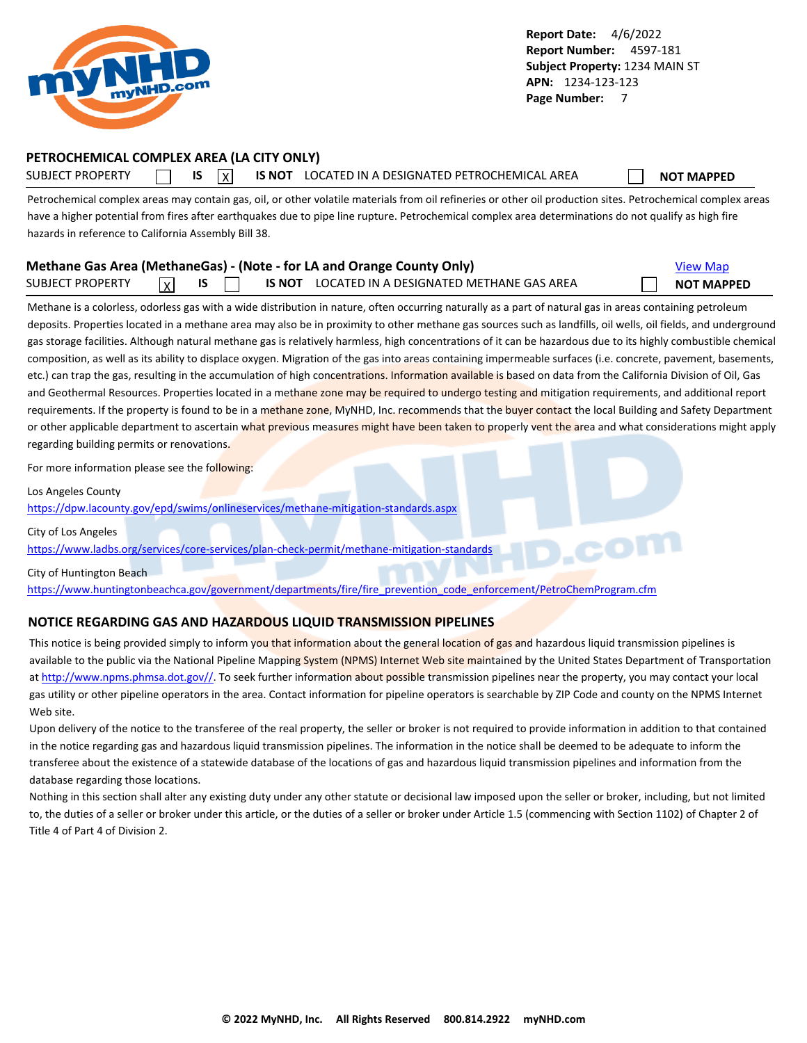<span id="page-7-0"></span>

## **PETROCHEMICAL COMPLEX AREA (LA CITY ONLY)**

SUBJECT PROPERTY **IS** IS **INOT LOCATED IN A DESIGNATED PETROCHEMICAL AREA NOT MAPPED** 

Petrochemical complex areas may contain gas, oil, or other volatile materials from oil refineries or other oil production sites. Petrochemical complex areas have a higher potential from fires after earthquakes due to pipe line rupture. Petrochemical complex area determinations do not qualify as high fire hazards in reference to California Assembly Bill 38.

|                  |                 |  | Methane Gas Area (MethaneGas) - (Note - for LA and Orange County Only) | <b>View Map</b>   |
|------------------|-----------------|--|------------------------------------------------------------------------|-------------------|
| SUBJECT PROPERTY | $\vert x \vert$ |  | IS NOT LOCATED IN A DESIGNATED METHANE GAS AREA                        | <b>NOT MAPPED</b> |

Methane is a colorless, odorless gas with a wide distribution in nature, often occurring naturally as a part of natural gas in areas containing petroleum deposits. Properties located in a methane area may also be in proximity to other methane gas sources such as landfills, oil wells, oil fields, and underground gas storage facilities. Although natural methane gas is relatively harmless, high concentrations of it can be hazardous due to its highly combustible chemical composition, as well as its ability to displace oxygen. Migration of the gas into areas containing impermeable surfaces (i.e. concrete, pavement, basements, etc.) can trap the gas, resulting in the accumulation of high concentrations. Information available is based on data from the California Division of Oil, Gas and Geothermal Resources. Properties located in a methane zone may be required to undergo testing and mitigation requirements, and additional report requirements. If the property is found to be in a methane zone, MyNHD, Inc. recommends that the buyer contact the local Building and Safety Department or other applicable department to ascertain what previous measures might have been taken to properly vent the area and what considerations might apply regarding building permits or renovations.

For more information please see the following:

Los Angeles County

<https://dpw.lacounty.gov/epd/swims/onlineservices/methane-mitigation-standards.aspx>

City of Los Angeles

<https://www.ladbs.org/services/core-services/plan-check-permit/methane-mitigation-standards>

City of Huntington Beach

[https://www.huntingtonbeachca.gov/government/departments/fire/fire\\_prevention\\_code\\_enforcement/PetroChemProgram.cfm](https://www.huntingtonbeachca.gov/government/departments/fire/fire_prevention_code_enforcement/PetroChemProgram.cfm)

### **NOTICE REGARDING GAS AND HAZARDOUS LIQUID TRANSMISSION PIPELINES**

This notice is being provided simply to inform you that information about the general location of gas and hazardous liquid transmission pipelines is available to the public via the National Pipeline Mapping System (NPMS) Internet Web site maintained by the United States Department of Transportation at [http://www.npms.phmsa.dot.gov//.](http://www.npms.phmsa.dot.gov/) To seek further information about possible transmission pipelines near the property, you may contact your local gas utility or other pipeline operators in the area. Contact information for pipeline operators is searchable by ZIP Code and county on the NPMS Internet Web site.

Upon delivery of the notice to the transferee of the real property, the seller or broker is not required to provide information in addition to that contained in the notice regarding gas and hazardous liquid transmission pipelines. The information in the notice shall be deemed to be adequate to inform the transferee about the existence of a statewide database of the locations of gas and hazardous liquid transmission pipelines and information from the database regarding those locations.

Nothing in this section shall alter any existing duty under any other statute or decisional law imposed upon the seller or broker, including, but not limited to, the duties of a seller or broker under this article, or the duties of a seller or broker under Article 1.5 (commencing with Section 1102) of Chapter 2 of Title 4 of Part 4 of Division 2.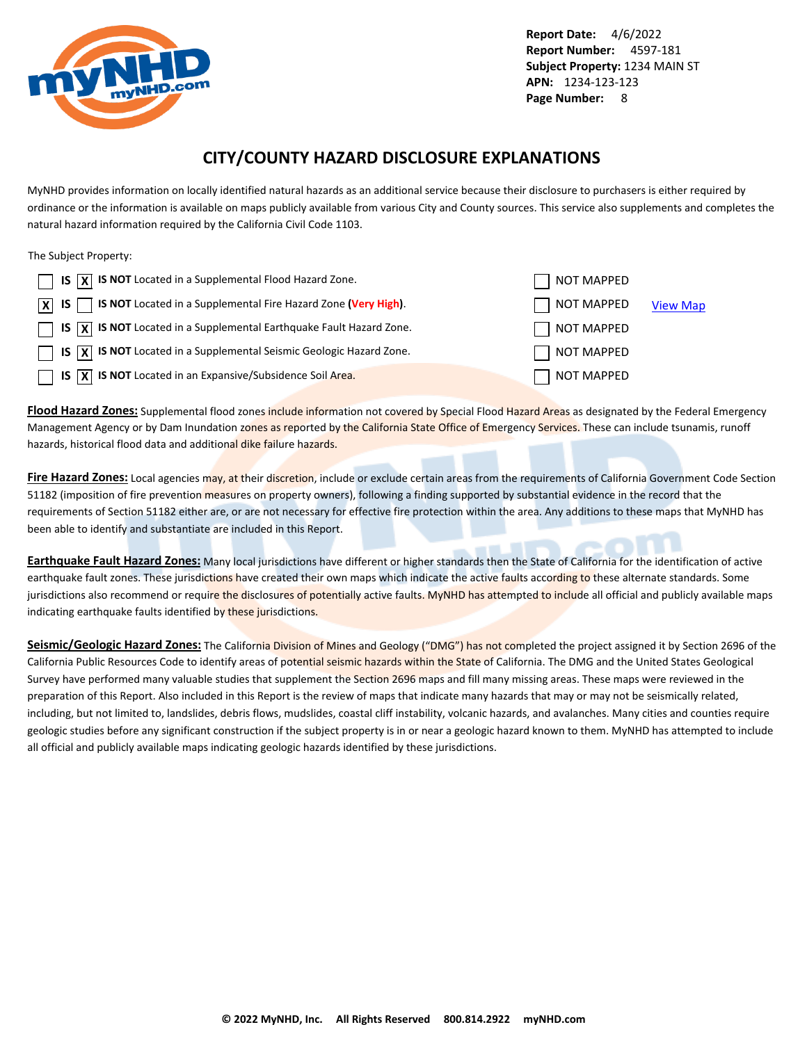<span id="page-8-0"></span>

## **CITY/COUNTY HAZARD DISCLOSURE EXPLANATIONS**

MyNHD provides information on locally identified natural hazards as an additional service because their disclosure to purchasers is either required by ordinance or the information is available on maps publicly available from various City and County sources. This service also supplements and completes the natural hazard information required by the California Civil Code 1103.

The Subject Property:

| $\Box$ IS $\overline{X}$ IS NOT Located in a Supplemental Flood Hazard Zone.                                 | NOT MAPPED        |                 |
|--------------------------------------------------------------------------------------------------------------|-------------------|-----------------|
| $\boxed{\mathsf{X}}$ IS $\boxed{\phantom{1}}$ IS NOT Located in a Supplemental Fire Hazard Zone (Very High). | NOT MAPPED        | <b>View Map</b> |
| $\Box$ IS $\overline{X}$ IS NOT Located in a Supplemental Earthquake Fault Hazard Zone.                      | NOT MAPPED        |                 |
| $\Box$ IS $\overline{X}$ IS NOT Located in a Supplemental Seismic Geologic Hazard Zone.                      | NOT MAPPED        |                 |
| $\Box$ IS $\overline{X}$ IS NOT Located in an Expansive/Subsidence Soil Area.                                | <b>NOT MAPPED</b> |                 |

**Flood Hazard Zones:** Supplemental flood zones include information not covered by Special Flood Hazard Areas as designated by the Federal Emergency Management Agency or by Dam Inundation zones as reported by the California State Office of Emergency Services. These can include tsunamis, runoff hazards, historical flood data and additional dike failure hazards.

**Fire Hazard Zones:** Local agencies may, at their discretion, include or exclude certain areas from the requirements of California Government Code Section 51182 (imposition of fire prevention measures on property owners), following a finding supported by substantial evidence in the record that the requirements of Section 51182 either are, or are not necessary for effective fire protection within the area. Any additions to these maps that MyNHD has been able to identify and substantiate are included in this Report.

**Earthquake Fault Hazard Zones:** Many local jurisdictions have different or higher standards then the State of California for the identification of active earthquake fault zones. These jurisdictions have created their own maps which indicate the active faults according to these alternate standards. Some jurisdictions also recommend or require the disclosures of potentially active faults. MyNHD has attempted to include all official and publicly available maps indicating earthquake faults identified by these jurisdictions.

Seismic/Geologic Hazard Zones: The California Division of Mines and Geology ("DMG") has not completed the project assigned it by Section 2696 of the California Public Resources Code to identify areas of potential seismic hazards within the State of California. The DMG and the United States Geological Survey have performed many valuable studies that supplement the Section 2696 maps and fill many missing areas. These maps were reviewed in the preparation of this Report. Also included in this Report is the review of maps that indicate many hazards that may or may not be seismically related, including, but not limited to, landslides, debris flows, mudslides, coastal cliff instability, volcanic hazards, and avalanches. Many cities and counties require geologic studies before any significant construction if the subject property is in or near a geologic hazard known to them. MyNHD has attempted to include all official and publicly available maps indicating geologic hazards identified by these jurisdictions.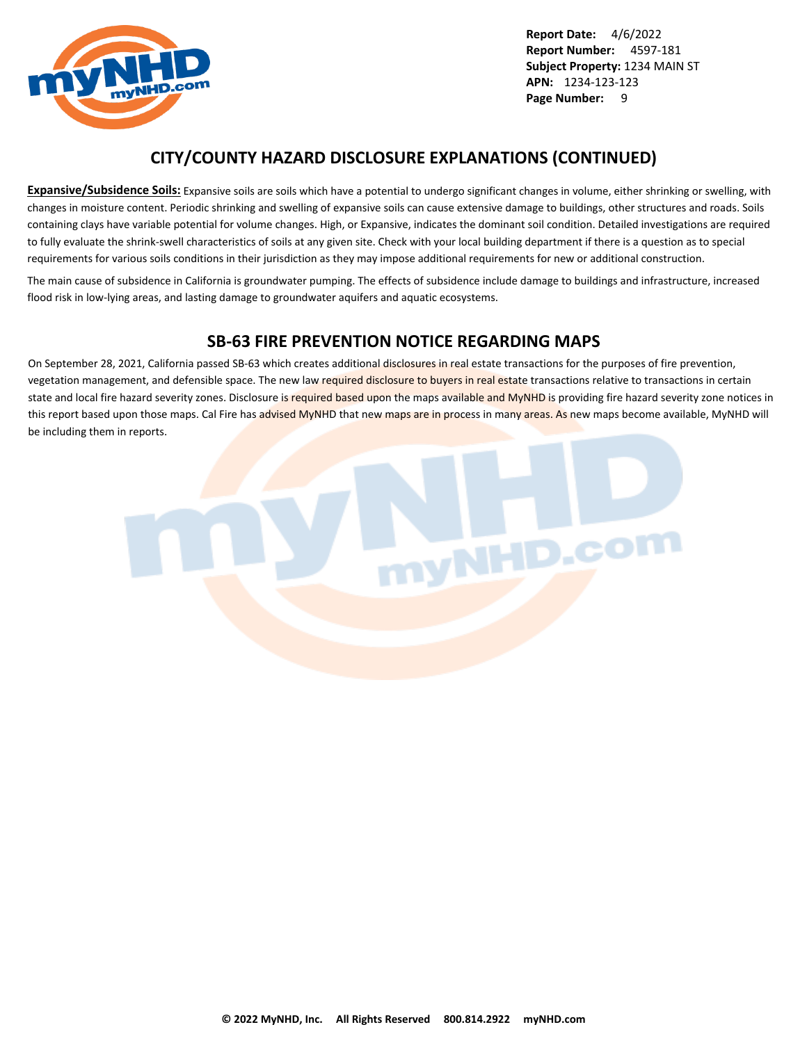

## **CITY/COUNTY HAZARD DISCLOSURE EXPLANATIONS (CONTINUED)**

**Expansive/Subsidence Soils:** Expansive soils are soils which have a potential to undergo significant changes in volume, either shrinking or swelling, with changes in moisture content. Periodic shrinking and swelling of expansive soils can cause extensive damage to buildings, other structures and roads. Soils containing clays have variable potential for volume changes. High, or Expansive, indicates the dominant soil condition. Detailed investigations are required to fully evaluate the shrink-swell characteristics of soils at any given site. Check with your local building department if there is a question as to special requirements for various soils conditions in their jurisdiction as they may impose additional requirements for new or additional construction.

The main cause of subsidence in California is groundwater pumping. The effects of subsidence include damage to buildings and infrastructure, increased flood risk in low-lying areas, and lasting damage to groundwater aquifers and aquatic ecosystems.

## **SB-63 FIRE PREVENTION NOTICE REGARDING MAPS**

On September 28, 2021, California passed SB-63 which creates additional disclosures in real estate transactions for the purposes of fire prevention, vegetation management, and defensible space. The new law required disclosure to buyers in real estate transactions relative to transactions in certain state and local fire hazard severity zones. Disclosure is required based upon the maps available and MyNHD is providing fire hazard severity zone notices in this report based upon those maps. Cal Fire has advised MyNHD that new maps are in process in many areas. As new maps become available, MyNHD will be including them in reports.

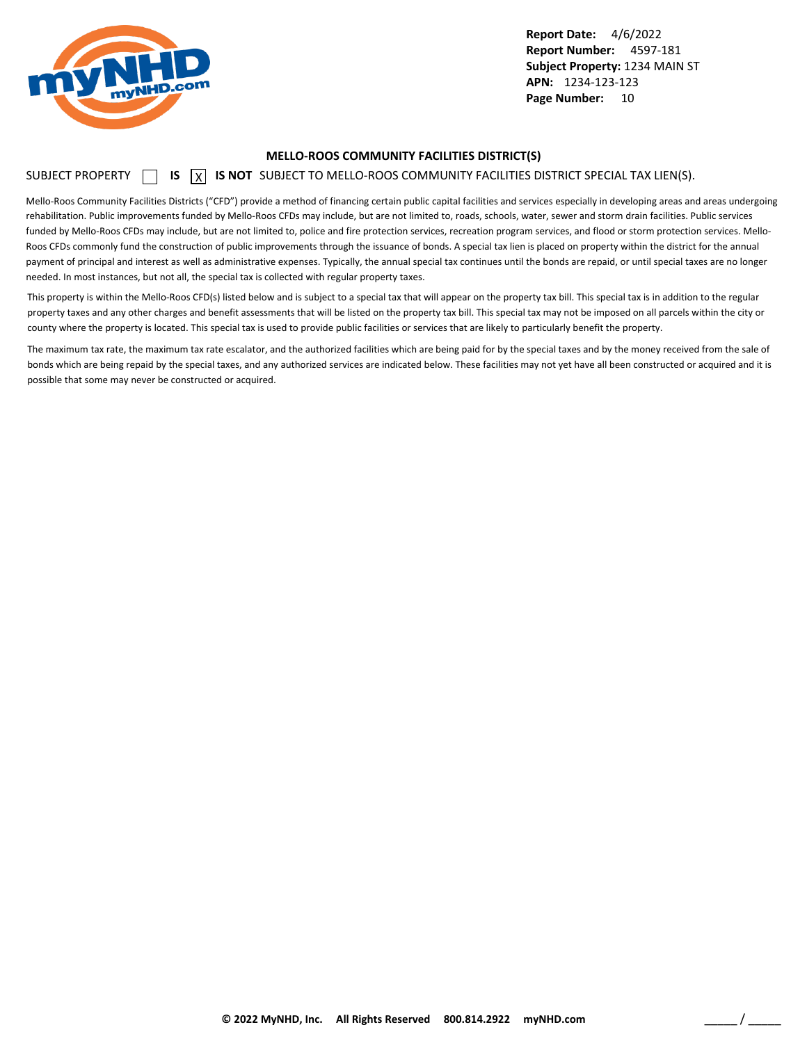<span id="page-10-0"></span>

#### **MELLO-ROOS COMMUNITY FACILITIES DISTRICT(S)**

### SUBJECT PROPERTY **15** IS **X** IS NOT SUBJECT TO MELLO-ROOS COMMUNITY FACILITIES DISTRICT SPECIAL TAX LIEN(S).

Mello-Roos Community Facilities Districts ("CFD") provide a method of financing certain public capital facilities and services especially in developing areas and areas undergoing rehabilitation. Public improvements funded by Mello-Roos CFDs may include, but are not limited to, roads, schools, water, sewer and storm drain facilities. Public services funded by Mello-Roos CFDs may include, but are not limited to, police and fire protection services, recreation program services, and flood or storm protection services. Mello-Roos CFDs commonly fund the construction of public improvements through the issuance of bonds. A special tax lien is placed on property within the district for the annual payment of principal and interest as well as administrative expenses. Typically, the annual special tax continues until the bonds are repaid, or until special taxes are no longer needed. In most instances, but not all, the special tax is collected with regular property taxes.

This property is within the Mello-Roos CFD(s) listed below and is subject to a special tax that will appear on the property tax bill. This special tax is in addition to the regular property taxes and any other charges and benefit assessments that will be listed on the property tax bill. This special tax may not be imposed on all parcels within the city or county where the property is located. This special tax is used to provide public facilities or services that are likely to particularly benefit the property.

The maximum tax rate, the maximum tax rate escalator, and the authorized facilities which are being paid for by the special taxes and by the money received from the sale of bonds which are being repaid by the special taxes, and any authorized services are indicated below. These facilities may not yet have all been constructed or acquired and it is possible that some may never be constructed or acquired.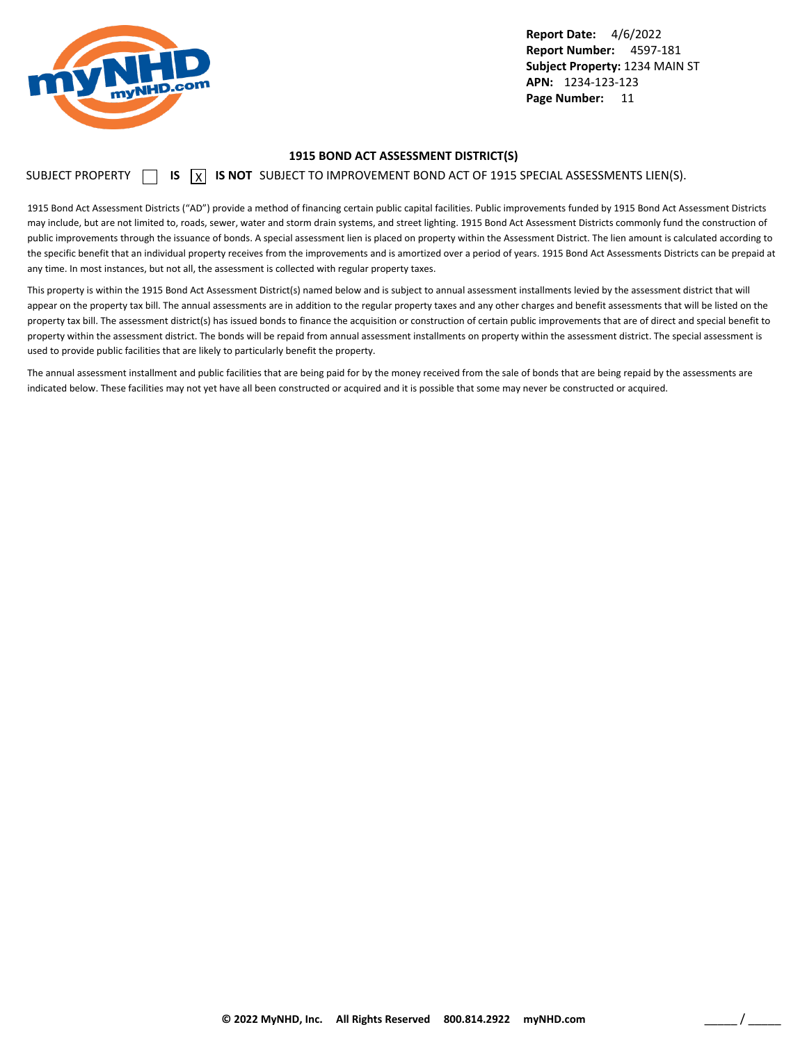<span id="page-11-0"></span>

#### **1915 BOND ACT ASSESSMENT DISTRICT(S)**

SUBJECT PROPERTY  $\Box$  **IS**  $\Box$  **IS NOT** SUBJECT TO IMPROVEMENT BOND ACT OF 1915 SPECIAL ASSESSMENTS LIEN(S).

1915 Bond Act Assessment Districts ("AD") provide a method of financing certain public capital facilities. Public improvements funded by 1915 Bond Act Assessment Districts may include, but are not limited to, roads, sewer, water and storm drain systems, and street lighting. 1915 Bond Act Assessment Districts commonly fund the construction of public improvements through the issuance of bonds. A special assessment lien is placed on property within the Assessment District. The lien amount is calculated according to the specific benefit that an individual property receives from the improvements and is amortized over a period of years. 1915 Bond Act Assessments Districts can be prepaid at any time. In most instances, but not all, the assessment is collected with regular property taxes.

This property is within the 1915 Bond Act Assessment District(s) named below and is subject to annual assessment installments levied by the assessment district that will appear on the property tax bill. The annual assessments are in addition to the regular property taxes and any other charges and benefit assessments that will be listed on the property tax bill. The assessment district(s) has issued bonds to finance the acquisition or construction of certain public improvements that are of direct and special benefit to property within the assessment district. The bonds will be repaid from annual assessment installments on property within the assessment district. The special assessment is used to provide public facilities that are likely to particularly benefit the property.

The annual assessment installment and public facilities that are being paid for by the money received from the sale of bonds that are being repaid by the assessments are indicated below. These facilities may not yet have all been constructed or acquired and it is possible that some may never be constructed or acquired.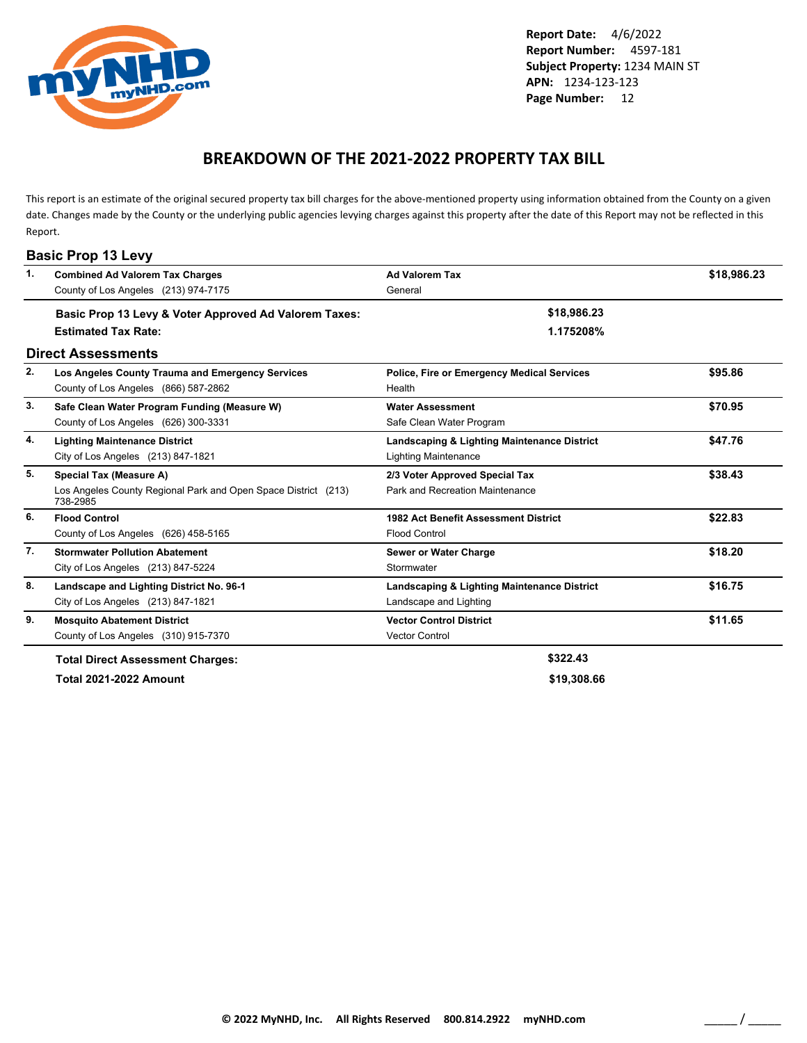<span id="page-12-0"></span>

## **BREAKDOWN OF THE 2021-2022 PROPERTY TAX BILL**

This report is an estimate of the original secured property tax bill charges for the above-mentioned property using information obtained from the County on a given date. Changes made by the County or the underlying public agencies levying charges against this property after the date of this Report may not be reflected in this Report.

| $\mathbf{1}$ . | <b>Combined Ad Valorem Tax Charges</b>                                     | <b>Ad Valorem Tax</b>                             | \$18,986.23 |
|----------------|----------------------------------------------------------------------------|---------------------------------------------------|-------------|
|                | County of Los Angeles (213) 974-7175                                       | General                                           |             |
|                | Basic Prop 13 Levy & Voter Approved Ad Valorem Taxes:                      | \$18,986.23                                       |             |
|                | <b>Estimated Tax Rate:</b>                                                 | 1.175208%                                         |             |
|                | <b>Direct Assessments</b>                                                  |                                                   |             |
| 2.             | Los Angeles County Trauma and Emergency Services                           | <b>Police, Fire or Emergency Medical Services</b> | \$95.86     |
|                | County of Los Angeles (866) 587-2862                                       | Health                                            |             |
| 3.             | Safe Clean Water Program Funding (Measure W)                               | <b>Water Assessment</b>                           | \$70.95     |
|                | County of Los Angeles (626) 300-3331                                       | Safe Clean Water Program                          |             |
| 4.             | <b>Lighting Maintenance District</b>                                       | Landscaping & Lighting Maintenance District       | \$47.76     |
|                | City of Los Angeles (213) 847-1821                                         | <b>Lighting Maintenance</b>                       |             |
| 5.             | Special Tax (Measure A)                                                    | 2/3 Voter Approved Special Tax                    | \$38.43     |
|                | Los Angeles County Regional Park and Open Space District (213)<br>738-2985 | Park and Recreation Maintenance                   |             |
| 6.             | <b>Flood Control</b>                                                       | 1982 Act Benefit Assessment District              | \$22.83     |
|                | County of Los Angeles (626) 458-5165                                       | <b>Flood Control</b>                              |             |
| 7.             | <b>Stormwater Pollution Abatement</b>                                      | Sewer or Water Charge                             | \$18.20     |
|                | City of Los Angeles (213) 847-5224                                         | Stormwater                                        |             |
| 8.             | Landscape and Lighting District No. 96-1                                   | Landscaping & Lighting Maintenance District       | \$16.75     |
|                | City of Los Angeles (213) 847-1821                                         | Landscape and Lighting                            |             |
| 9.             | <b>Mosquito Abatement District</b>                                         | <b>Vector Control District</b>                    | \$11.65     |
|                | County of Los Angeles (310) 915-7370                                       | <b>Vector Control</b>                             |             |
|                | <b>Total Direct Assessment Charges:</b>                                    | \$322.43                                          |             |
|                | <b>Total 2021-2022 Amount</b>                                              | \$19,308.66                                       |             |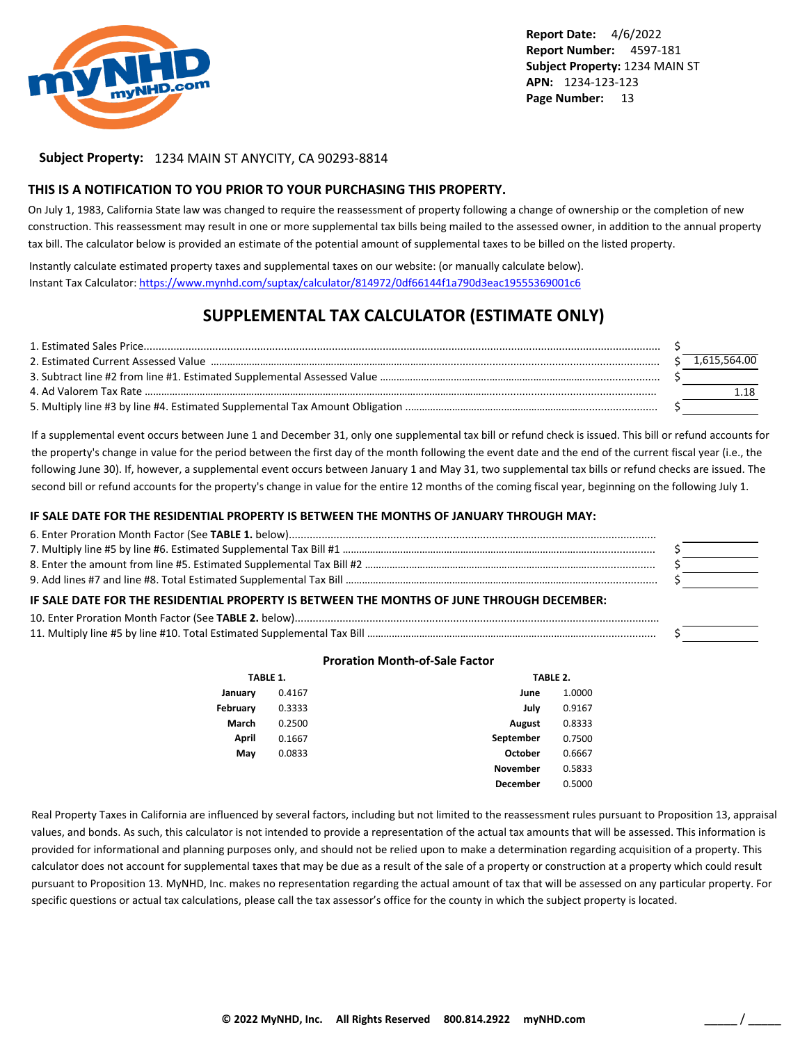

### **Subject Property:** 1234 MAIN ST ANYCITY, CA 90293-8814

#### **THIS IS A NOTIFICATION TO YOU PRIOR TO YOUR PURCHASING THIS PROPERTY.**

On July 1, 1983, California State law was changed to require the reassessment of property following a change of ownership or the completion of new construction. This reassessment may result in one or more supplemental tax bills being mailed to the assessed owner, in addition to the annual property tax bill. The calculator below is provided an estimate of the potential amount of supplemental taxes to be billed on the listed property.

Instantly calculate estimated property taxes and supplemental taxes on our website: (or manually calculate below). Instant Tax Calculator: <https://www.mynhd.com/suptax/calculator/814972/0df66144f1a790d3eac19555369001c6>

## **SUPPLEMENTAL TAX CALCULATOR (ESTIMATE ONLY)**

|  | 1,615,564.00 |
|--|--------------|
|  |              |
|  |              |
|  |              |

If a supplemental event occurs between June 1 and December 31, only one supplemental tax bill or refund check is issued. This bill or refund accounts for the property's change in value for the period between the first day of the month following the event date and the end of the current fiscal year (i.e., the following June 30). If, however, a supplemental event occurs between January 1 and May 31, two supplemental tax bills or refund checks are issued. The second bill or refund accounts for the property's change in value for the entire 12 months of the coming fiscal year, beginning on the following July 1.

#### **IF SALE DATE FOR THE RESIDENTIAL PROPERTY IS BETWEEN THE MONTHS OF JANUARY THROUGH MAY:**

| IF SALE DATE FOR THE RESIDENTIAL PROPERTY IS BETWEEN THE MONTHS OF JUNE THROUGH DECEMBER: |  |
|-------------------------------------------------------------------------------------------|--|
|                                                                                           |  |
|                                                                                           |  |

#### **Proration Month-of-Sale Factor**

|          | TABLE 1. |                 | TABLE 2. |
|----------|----------|-----------------|----------|
| January  | 0.4167   | June            | 1.0000   |
| February | 0.3333   | July            | 0.9167   |
| March    | 0.2500   | <b>August</b>   | 0.8333   |
| April    | 0.1667   | September       | 0.7500   |
| May      | 0.0833   | October         | 0.6667   |
|          |          | <b>November</b> | 0.5833   |
|          |          | December        | 0.5000   |

Real Property Taxes in California are influenced by several factors, including but not limited to the reassessment rules pursuant to Proposition 13, appraisal values, and bonds. As such, this calculator is not intended to provide a representation of the actual tax amounts that will be assessed. This information is provided for informational and planning purposes only, and should not be relied upon to make a determination regarding acquisition of a property. This calculator does not account for supplemental taxes that may be due as a result of the sale of a property or construction at a property which could result pursuant to Proposition 13. MyNHD, Inc. makes no representation regarding the actual amount of tax that will be assessed on any particular property. For specific questions or actual tax calculations, please call the tax assessor's office for the county in which the subject property is located.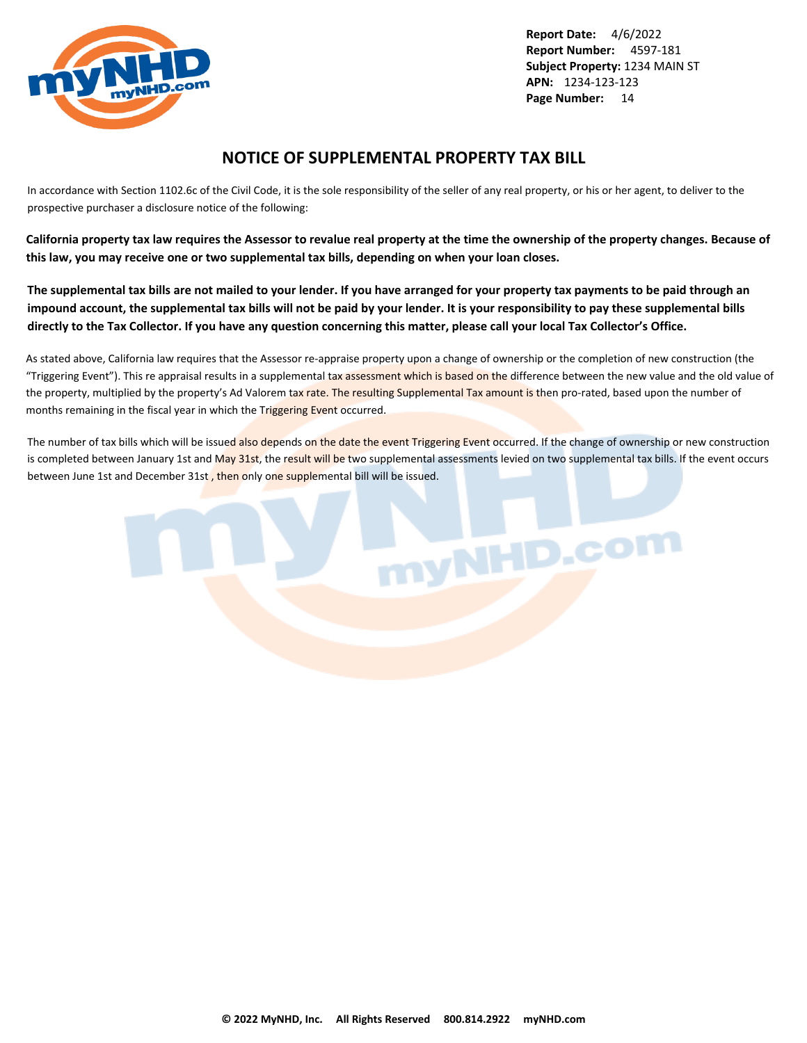<span id="page-14-0"></span>

## **NOTICE OF SUPPLEMENTAL PROPERTY TAX BILL**

In accordance with Section 1102.6c of the Civil Code, it is the sole responsibility of the seller of any real property, or his or her agent, to deliver to the prospective purchaser a disclosure notice of the following:

**California property tax law requires the Assessor to revalue real property at the time the ownership of the property changes. Because of this law, you may receive one or two supplemental tax bills, depending on when your loan closes.**

**The supplemental tax bills are not mailed to your lender. If you have arranged for your property tax payments to be paid through an impound account, the supplemental tax bills will not be paid by your lender. It is your responsibility to pay these supplemental bills directly to the Tax Collector. If you have any question concerning this matter, please call your local Tax Collector's Office.**

As stated above, California law requires that the Assessor re-appraise property upon a change of ownership or the completion of new construction (the "Triggering Event"). This re appraisal results in a supplemental tax assessment which is based on the difference between the new value and the old value of the property, multiplied by the property's Ad Valorem tax rate. The resulting Supplemental Tax amount is then pro-rated, based upon the number of months remaining in the fiscal year in which the Triggering Event occurred.

The number of tax bills which will be issued also depends on the date the event Triggering Event occurred. If the change of ownership or new construction is completed between January 1st and May 31st, the result will be two supplemental assessments levied on two supplemental tax bills. If the event occurs between June 1st and December 31st, then only one supplemental bill will be issued.

nyNHD.com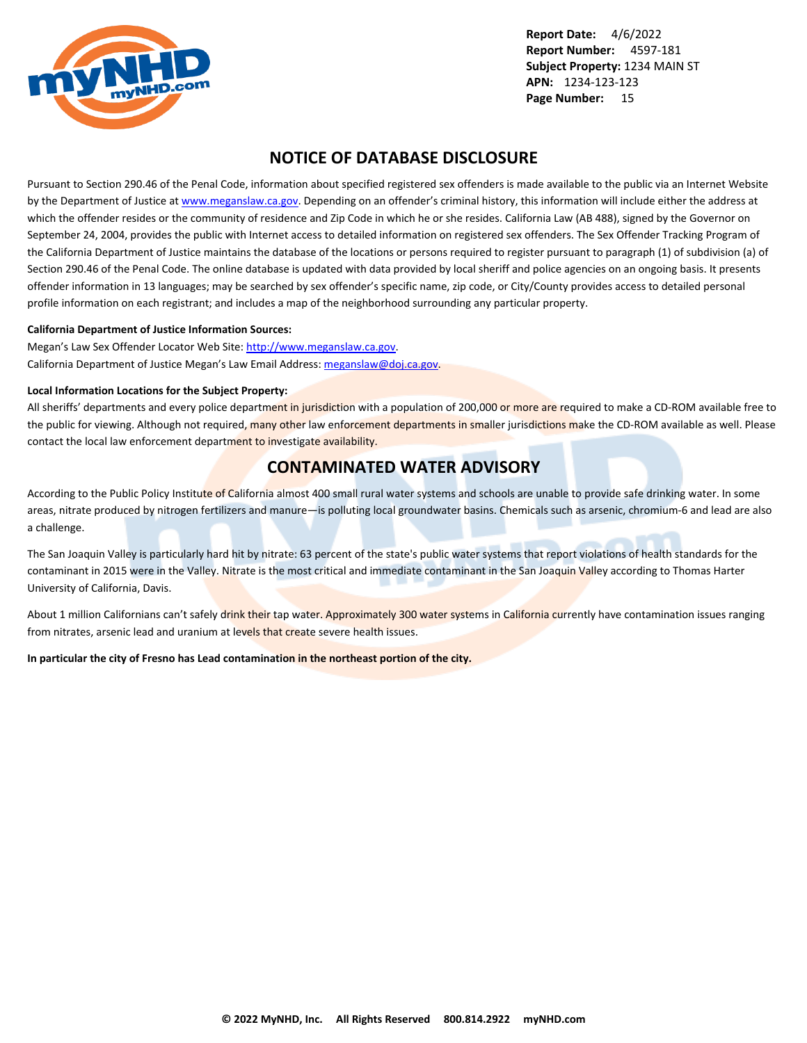<span id="page-15-0"></span>

## **NOTICE OF DATABASE DISCLOSURE**

Pursuant to Section 290.46 of the Penal Code, information about specified registered sex offenders is made available to the public via an Internet Website by the Department of Justice at <www.meganslaw.ca.gov>. Depending on an offender's criminal history, this information will include either the address at which the offender resides or the community of residence and Zip Code in which he or she resides. California Law (AB 488), signed by the Governor on September 24, 2004, provides the public with Internet access to detailed information on registered sex offenders. The Sex Offender Tracking Program of the California Department of Justice maintains the database of the locations or persons required to register pursuant to paragraph (1) of subdivision (a) of Section 290.46 of the Penal Code. The online database is updated with data provided by local sheriff and police agencies on an ongoing basis. It presents offender information in 13 languages; may be searched by sex offender's specific name, zip code, or City/County provides access to detailed personal profile information on each registrant; and includes a map of the neighborhood surrounding any particular property.

#### **California Department of Justice Information Sources:**

Megan's Law Sex Offender Locator Web Site: <http://www.meganslaw.ca.gov>. California Department of Justice Megan's Law Email Address: [meganslaw@doj.ca.gov](mailto:meganslaw@doj.ca.gov).

#### **Local Information Locations for the Subject Property:**

All sheriffs' departments and every police department in jurisdiction with a population of 200,000 or more are required to make a CD-ROM available free to the public for viewing. Although not required, many other law enforcement departments in smaller jurisdictions make the CD-ROM available as well. Please contact the local law enforcement department to investigate availability.

## **CONTAMINATED WATER ADVISORY**

According to the Public Policy Institute of California almost 400 small rural water systems and schools are unable to provide safe drinking water. In some areas, nitrate produced by nitrogen fertilizers and manure—is polluting local groundwater basins. Chemicals such as arsenic, chromium-6 and lead are also a challenge.

The San Joaquin Valley is particularly hard hit by nitrate: 63 percent of the state's public water systems that report violations of health standards for the contaminant in 2015 were in the Valley. Nitrate is the most critical and immediate contaminant in the San Joaquin Valley according to Thomas Harter University of California, Davis.

About 1 million Californians can't safely drink their tap water. Approximately 300 water systems in California currently have contamination issues ranging from nitrates, arsenic lead and uranium at levels that create severe health issues.

**In particular the city of Fresno has Lead contamination in the northeast portion of the city.**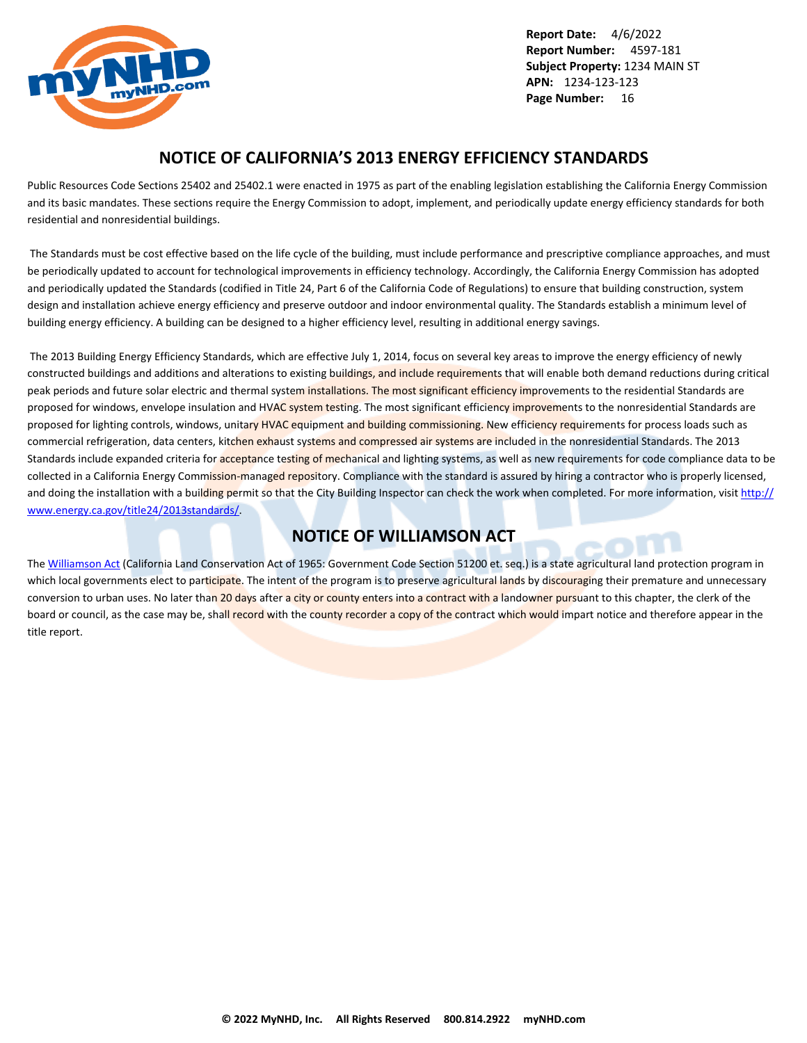<span id="page-16-0"></span>

## **NOTICE OF CALIFORNIA'S 2013 ENERGY EFFICIENCY STANDARDS**

Public Resources Code Sections 25402 and 25402.1 were enacted in 1975 as part of the enabling legislation establishing the California Energy Commission and its basic mandates. These sections require the Energy Commission to adopt, implement, and periodically update energy efficiency standards for both residential and nonresidential buildings.

 The Standards must be cost effective based on the life cycle of the building, must include performance and prescriptive compliance approaches, and must be periodically updated to account for technological improvements in efficiency technology. Accordingly, the California Energy Commission has adopted and periodically updated the Standards (codified in Title 24, Part 6 of the California Code of Regulations) to ensure that building construction, system design and installation achieve energy efficiency and preserve outdoor and indoor environmental quality. The Standards establish a minimum level of building energy efficiency. A building can be designed to a higher efficiency level, resulting in additional energy savings.

 The 2013 Building Energy Efficiency Standards, which are effective July 1, 2014, focus on several key areas to improve the energy efficiency of newly constructed buildings and additions and alterations to existing buildings, and include requirements that will enable both demand reductions during critical peak periods and future solar electric and thermal system installations. The most significant efficiency improvements to the residential Standards are proposed for windows, envelope insulation and HVAC system testing. The most significant efficiency improvements to the nonresidential Standards are proposed for lighting controls, windows, unitary HVAC equipment and building commissioning. New efficiency requirements for process loads such as commercial refrigeration, data centers, kitchen exhaust systems and compressed air systems are included in the nonresidential Standards. The 2013 Standards include expanded criteria for acceptance testing of mechanical and lighting systems, as well as new requirements for code compliance data to be collected in a California Energy Commission-managed repository. Compliance with the standard is assured by hiring a contractor who is properly licensed, and doing the installation with a building permit so that the City Building Inspector can check the work when completed. For more information, visit [http://](http://www.energy.ca.gov/title24/2013standards/) [www.energy.ca.gov/title24/2013standards/](http://www.energy.ca.gov/title24/2013standards/).

## **NOTICE OF WILLIAMSON ACT**

The [Williamson Act](http://www.conservation.ca.gov/dlrp/lca) (California Land Conservation Act of 1965: Government Code Section 51200 et. seq.) is a state agricultural land protection program in which local governments elect to participate. The intent of the program is to preserve agricultural lands by discouraging their premature and unnecessary conversion to urban uses. No later than 20 days after a city or county enters into a contract with a landowner pursuant to this chapter, the clerk of the board or council, as the case may be, shall record with the county recorder a copy of the contract which would impart notice and therefore appear in the title report.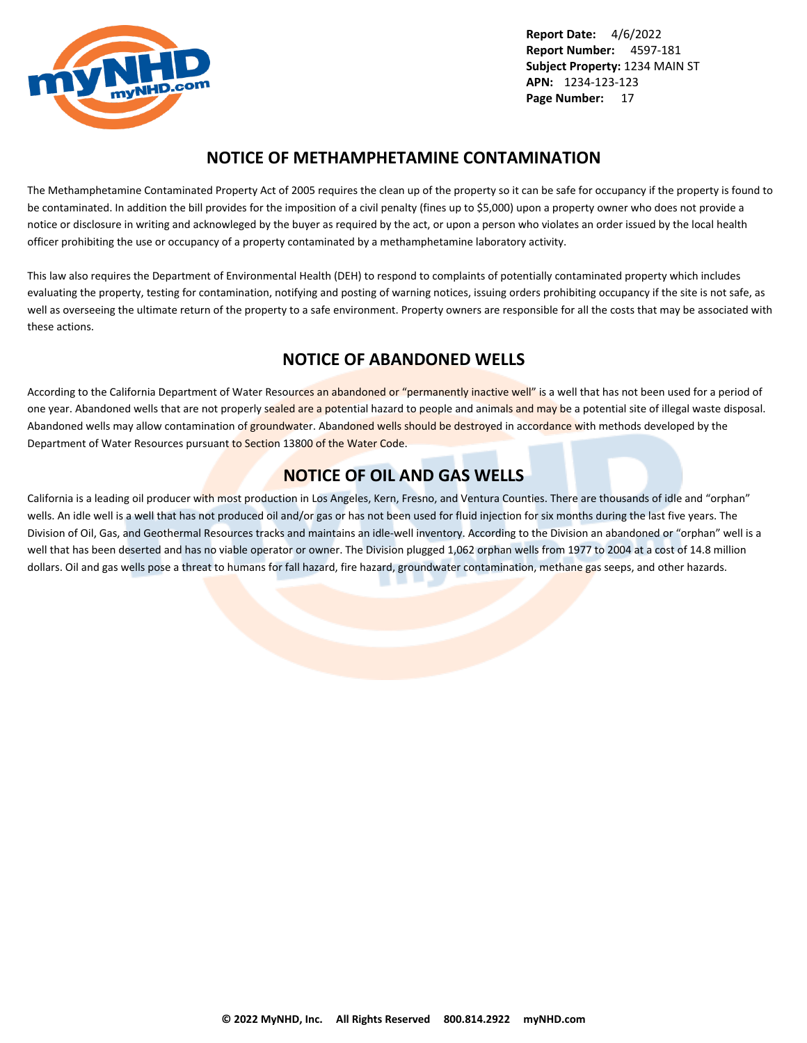<span id="page-17-0"></span>

## **NOTICE OF METHAMPHETAMINE CONTAMINATION**

The Methamphetamine Contaminated Property Act of 2005 requires the clean up of the property so it can be safe for occupancy if the property is found to be contaminated. In addition the bill provides for the imposition of a civil penalty (fines up to \$5,000) upon a property owner who does not provide a notice or disclosure in writing and acknowleged by the buyer as required by the act, or upon a person who violates an order issued by the local health officer prohibiting the use or occupancy of a property contaminated by a methamphetamine laboratory activity.

This law also requires the Department of Environmental Health (DEH) to respond to complaints of potentially contaminated property which includes evaluating the property, testing for contamination, notifying and posting of warning notices, issuing orders prohibiting occupancy if the site is not safe, as well as overseeing the ultimate return of the property to a safe environment. Property owners are responsible for all the costs that may be associated with these actions.

## **NOTICE OF ABANDONED WELLS**

According to the California Department of Water Resources an abandoned or "permanently inactive well" is a well that has not been used for a period of one year. Abandoned wells that are not properly sealed are a potential hazard to people and animals and may be a potential site of illegal waste disposal. Abandoned wells may allow contamination of groundwater. Abandoned wells should be destroyed in accordance with methods developed by the Department of Water Resources pursuant to Section 13800 of the Water Code.

## **NOTICE OF OIL AND GAS WELLS**

California is a leading oil producer with most production in Los Angeles, Kern, Fresno, and Ventura Counties. There are thousands of idle and "orphan" wells. An idle well is a well that has not produced oil and/or gas or has not been used for fluid injection for six months during the last five years. The Division of Oil, Gas, and Geothermal Resources tracks and maintains an idle-well inventory. According to the Division an abandoned or "orphan" well is a well that has been deserted and has no viable operator or owner. The Division plugged 1,062 orphan wells from 1977 to 2004 at a cost of 14.8 million dollars. Oil and gas wells pose a threat to humans for fall hazard, fire hazard, groundwater contamination, methane gas seeps, and other hazards.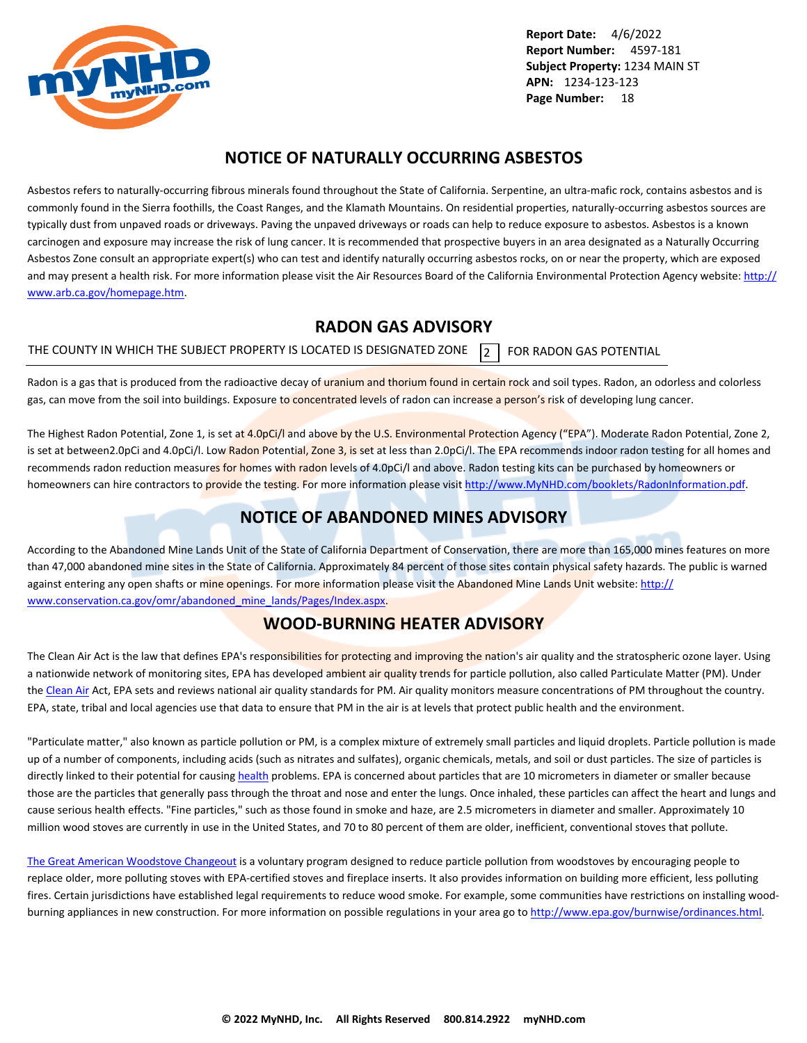<span id="page-18-0"></span>

## **NOTICE OF NATURALLY OCCURRING ASBESTOS**

Asbestos refers to naturally-occurring fibrous minerals found throughout the State of California. Serpentine, an ultra-mafic rock, contains asbestos and is commonly found in the Sierra foothills, the Coast Ranges, and the Klamath Mountains. On residential properties, naturally-occurring asbestos sources are typically dust from unpaved roads or driveways. Paving the unpaved driveways or roads can help to reduce exposure to asbestos. Asbestos is a known carcinogen and exposure may increase the risk of lung cancer. It is recommended that prospective buyers in an area designated as a Naturally Occurring Asbestos Zone consult an appropriate expert(s) who can test and identify naturally occurring asbestos rocks, on or near the property, which are exposed and may present a health risk. For more information please visit the Air Resources Board of the California Environmental Protection Agency website: [http://](http://www.arb.ca.gov/homepage.htm) [www.arb.ca.gov/homepage.htm](http://www.arb.ca.gov/homepage.htm).

## **RADON GAS ADVISORY**

THE COUNTY IN WHICH THE SUBJECT PROPERTY IS LOCATED IS DESIGNATED ZONE  $\overline{2}$  FOR RADON GAS POTENTIAL

Radon is a gas that is produced from the radioactive decay of uranium and thorium found in certain rock and soil types. Radon, an odorless and colorless gas, can move from the soil into buildings. Exposure to concentrated levels of radon can increase a person's risk of developing lung cancer.

The Highest Radon Potential, Zone 1, is set at 4.0pCi/l and above by the U.S. Environmental Protection Agency ("EPA"). Moderate Radon Potential, Zone 2, is set at between2.0pCi and 4.0pCi/l. Low Radon Potential, Zone 3, is set at less than 2.0pCi/l. The EPA recommends indoor radon testing for all homes and recommends radon reduction measures for homes with radon levels of 4.0pCi/l and above. Radon testing kits can be purchased by homeowners or homeowners can hire contractors to provide the testing. For more information please visit <http://www.MyNHD.com/booklets/RadonInformation.pdf>.

## **NOTICE OF ABANDONED MINES ADVISORY**

According to the Abandoned Mine Lands Unit of the State of California Department of Conservation, there are more than 165,000 mines features on more than 47,000 abandoned mine sites in the State of California. Approximately 84 percent of those sites contain physical safety hazards. The public is warned against entering any open shafts or mine openings. For more information please visit the Abandoned Mine Lands Unit website: [http://](http://www.conservation.ca.gov/omr/abandoned_mine_lands/Pages/Index.aspx) [www.conservation.ca.gov/omr/abandoned\\_mine\\_lands/Pages/Index.aspx](http://www.conservation.ca.gov/omr/abandoned_mine_lands/Pages/Index.aspx).

## **WOOD-BURNING HEATER ADVISORY**

The Clean Air Act is the law that defines EPA's responsibilities for protecting and improving the nation's air quality and the stratospheric ozone layer. Using a nationwide network of monitoring sites, EPA has developed ambient air quality trends for particle pollution, also called Particulate Matter (PM). Under the [Clean Air](http://www.epa.gov/airtrends/pm.html) Act, EPA sets and reviews national air quality standards for PM. Air quality monitors measure concentrations of PM throughout the country. EPA, state, tribal and local agencies use that data to ensure that PM in the air is at levels that protect public health and the environment.

"Particulate matter," also known as particle pollution or PM, is a complex mixture of extremely small particles and liquid droplets. Particle pollution is made up of a number of components, including acids (such as nitrates and sulfates), organic chemicals, metals, and soil or dust particles. The size of particles is directly linked to their potential for causing [health](http://www.epa.gov/pm/) problems. EPA is concerned about particles that are 10 micrometers in diameter or smaller because those are the particles that generally pass through the throat and nose and enter the lungs. Once inhaled, these particles can affect the heart and lungs and cause serious health effects. "Fine particles," such as those found in smoke and haze, are 2.5 micrometers in diameter and smaller. Approximately 10 million wood stoves are currently in use in the United States, and 70 to 80 percent of them are older, inefficient, conventional stoves that pollute.

[The Great American Woodstove Changeout](http://www.epa.gov/woodstoves/changeout.html) is a voluntary program designed to reduce particle pollution from woodstoves by encouraging people to replace older, more polluting stoves with EPA-certified stoves and fireplace inserts. It also provides information on building more efficient, less polluting fires. Certain jurisdictions have established legal requirements to reduce wood smoke. For example, some communities have restrictions on installing woodburning appliances in new construction. For more information on possible regulations in your area go to<http://www.epa.gov/burnwise/ordinances.html>.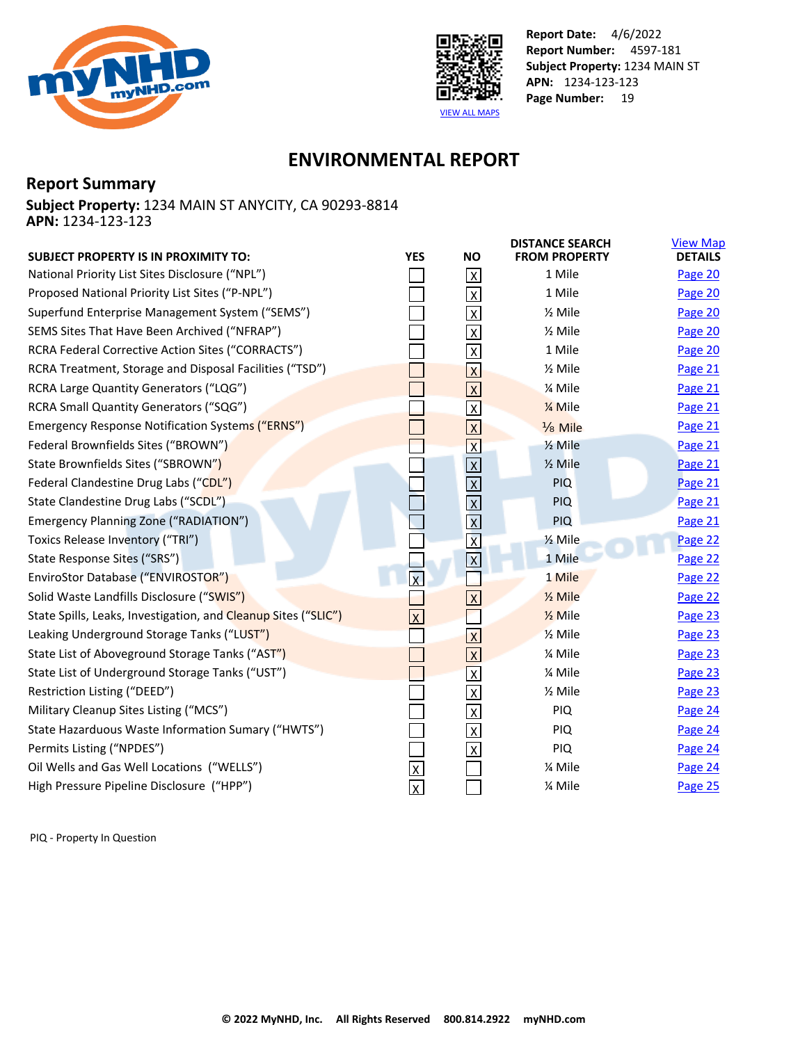<span id="page-19-0"></span>



## **ENVIRONMENTAL REPORT**

## **Report Summary**

**Subject Property:** 1234 MAIN ST ANYCITY, CA 90293-8814 **APN:** 1234-123-123

| <b>SUBJECT PROPERTY IS IN PROXIMITY TO:</b>                    | <b>YES</b>              | <b>NO</b>               | <b>DISTANCE SEARCH</b><br><b>FROM PROPERTY</b> | <b>View Map</b><br><b>DETAILS</b> |
|----------------------------------------------------------------|-------------------------|-------------------------|------------------------------------------------|-----------------------------------|
| National Priority List Sites Disclosure ("NPL")                |                         | $\mathsf{X}$            | 1 Mile                                         | Page 20                           |
| Proposed National Priority List Sites ("P-NPL")                |                         | $\overline{X}$          | 1 Mile                                         | Page 20                           |
| Superfund Enterprise Management System ("SEMS")                |                         | $\mathsf X$             | $\frac{1}{2}$ Mile                             | Page 20                           |
| SEMS Sites That Have Been Archived ("NFRAP")                   |                         | $\overline{\mathsf{x}}$ | $\frac{1}{2}$ Mile                             | Page 20                           |
| RCRA Federal Corrective Action Sites ("CORRACTS")              |                         | $\overline{X}$          | 1 Mile                                         | Page 20                           |
| RCRA Treatment, Storage and Disposal Facilities ("TSD")        |                         | $\overline{\mathsf{X}}$ | $\frac{1}{2}$ Mile                             | Page 21                           |
| RCRA Large Quantity Generators ("LQG")                         |                         | $\overline{X}$          | % Mile                                         | Page 21                           |
| RCRA Small Quantity Generators ("SQG")                         |                         | $\overline{\mathsf{X}}$ | 1/ <sub>4</sub> Mile                           | Page 21                           |
| <b>Emergency Response Notification Systems ("ERNS")</b>        |                         | $\overline{X}$          | Mile                                           | Page 21                           |
| Federal Brownfields Sites ("BROWN")                            |                         | $\overline{\mathsf{x}}$ | $\frac{1}{2}$ Mile                             | Page 21                           |
| State Brownfields Sites ("SBROWN")                             |                         | $\overline{X}$          | $\frac{1}{2}$ Mile                             | <b>Page 21</b>                    |
| Federal Clandestine Drug Labs ("CDL")                          |                         | $\overline{\mathsf{x}}$ | <b>PIQ</b>                                     | Page 21                           |
| State Clandestine Drug Labs ("SCDL")                           |                         |                         | <b>PIQ</b>                                     | Page 21                           |
| Emergency Planning Zone ("RADIATION")                          |                         | $\frac{1}{x}$           | PIQ                                            | Page 21                           |
| Toxics Release Inventory ("TRI")                               |                         | $\overline{\mathbf{x}}$ | 1/ <sub>2</sub> Mile                           | Page 22                           |
| State Response Sites ("SRS")                                   |                         | $\overline{\mathbf{x}}$ | 1 Mile                                         | Page 22                           |
| EnviroStor Database ("ENVIROSTOR")                             | $\overline{\mathsf{x}}$ |                         | 1 Mile                                         | Page 22                           |
| Solid Waste Landfills Disclosure ("SWIS")                      |                         | $\overline{\mathsf{x}}$ | $\frac{1}{2}$ Mile                             | Page 22                           |
| State Spills, Leaks, Investigation, and Cleanup Sites ("SLIC") | $\overline{\mathsf{x}}$ |                         | $\frac{1}{2}$ Mile                             | Page 23                           |
| Leaking Underground Storage Tanks ("LUST")                     |                         | $\overline{\mathsf{X}}$ | $\frac{1}{2}$ Mile                             | Page 23                           |
| State List of Aboveground Storage Tanks ("AST")                |                         | $\overline{X}$          | % Mile                                         | Page 23                           |
| State List of Underground Storage Tanks ("UST")                |                         | $\overline{\mathsf{x}}$ | % Mile                                         | Page 23                           |
| Restriction Listing ("DEED")                                   |                         | $\overline{X}$          | $\frac{1}{2}$ Mile                             | Page 23                           |
| Military Cleanup Sites Listing ("MCS")                         |                         | $\overline{\mathsf{x}}$ | PIQ                                            | Page 24                           |
| State Hazarduous Waste Information Sumary ("HWTS")             |                         | $\overline{X}$          | <b>PIQ</b>                                     | Page 24                           |
| Permits Listing ("NPDES")                                      |                         | $\overline{\mathsf{x}}$ | PIQ                                            | Page 24                           |
| Oil Wells and Gas Well Locations ("WELLS")                     | $\overline{\mathsf{x}}$ |                         | % Mile                                         | Page 24                           |
| High Pressure Pipeline Disclosure ("HPP")                      | $\overline{\mathsf{x}}$ |                         | % Mile                                         | Page 25                           |

PIQ - Property In Question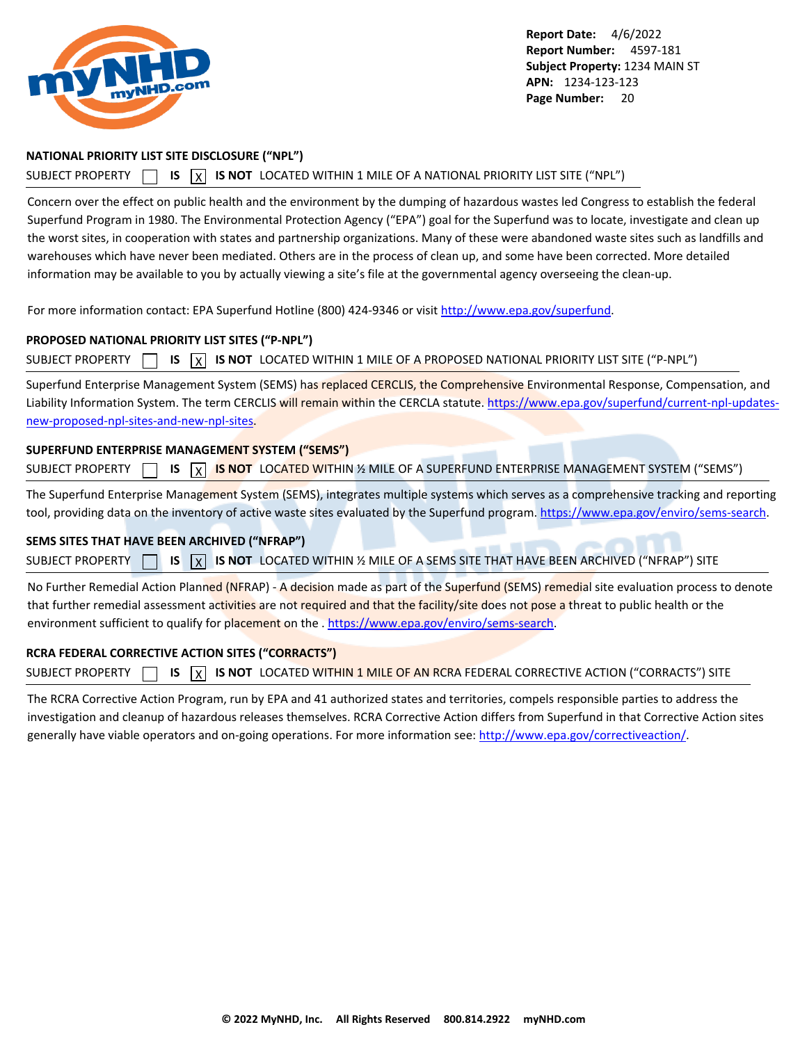<span id="page-20-0"></span>

#### **NATIONAL PRIORITY LIST SITE DISCLOSURE ("NPL")**

#### SUBJECT PROPERTY **15** IS **X** IS NOT LOCATED WITHIN 1 MILE OF A NATIONAL PRIORITY LIST SITE ("NPL")

Concern over the effect on public health and the environment by the dumping of hazardous wastes led Congress to establish the federal Superfund Program in 1980. The Environmental Protection Agency ("EPA") goal for the Superfund was to locate, investigate and clean up the worst sites, in cooperation with states and partnership organizations. Many of these were abandoned waste sites such as landfills and warehouses which have never been mediated. Others are in the process of clean up, and some have been corrected. More detailed information may be available to you by actually viewing a site's file at the governmental agency overseeing the clean-up.

For more information contact: EPA Superfund Hotline (800) 424-9346 or visit<http://www.epa.gov/superfund>.

#### **PROPOSED NATIONAL PRIORITY LIST SITES ("P-NPL")**

SUBJECT PROPERTY  $\Box$  **IS**  $\Box$  **IS NOT** LOCATED WITHIN 1 MILE OF A PROPOSED NATIONAL PRIORITY LIST SITE ("P-NPL")

Superfund Enterprise Management System (SEMS) has replaced CERCLIS, the Comprehensive Environmental Response, Compensation, and Liability Information System. The term CERCLIS will remain within the CERCLA statute. [https://www.epa.gov/superfund/current-npl-updates](https://www.epa.gov/superfund/current-npl-updates-new-proposed-npl-sites-and-new-npl-sites)[new-proposed-npl-sites-and-new-npl-sites](https://www.epa.gov/superfund/current-npl-updates-new-proposed-npl-sites-and-new-npl-sites).

#### **SUPERFUND ENTERPRISE MANAGEMENT SYSTEM ("SEMS")**

| <b>SUBJECT PROPERTY</b> |  | $\Box$ IS $\overline{X}$ IS NOT LOCATED WITHIN % MILE OF A SUPERFUND ENTERPRISE MANAGEMENT SYSTEM ("SEMS") |  |  |  |  |  |
|-------------------------|--|------------------------------------------------------------------------------------------------------------|--|--|--|--|--|
|-------------------------|--|------------------------------------------------------------------------------------------------------------|--|--|--|--|--|

The Superfund Enterprise Management System (SEMS), integrates multiple systems which serves as a comprehensive tracking and reporting tool, providing data on the inventory of active waste sites evaluated by the Superfund program.<https://www.epa.gov/enviro/sems-search>.

#### **SEMS SITES THAT HAVE BEEN ARCHIVED ("NFRAP")**

SUBJECT PROPERTY **IS** IS **X** IS NOT LOCATED WITHIN % MILE OF A SEMS SITE THAT HAVE BEEN ARCHIVED ("NFRAP") SITE

No Further Remedial Action Planned (NFRAP) - A decision made as part of the Superfund (SEMS) remedial site evaluation process to denote that further remedial assessment activities are not required and that the facility/site does not pose a threat to public health or the environment sufficient to qualify for placement on the . <https://www.epa.gov/enviro/sems-search>.

#### **RCRA FEDERAL CORRECTIVE ACTION SITES ("CORRACTS")**

SUBJECT PROPERTY **15** IS **X** IS NOT LOCATED WITHIN 1 MILE OF AN RCRA FEDERAL CORRECTIVE ACTION ("CORRACTS") SITE

The RCRA Corrective Action Program, run by EPA and 41 authorized states and territories, compels responsible parties to address the investigation and cleanup of hazardous releases themselves. RCRA Corrective Action differs from Superfund in that Corrective Action sites generally have viable operators and on-going operations. For more information see:<http://www.epa.gov/correctiveaction/>.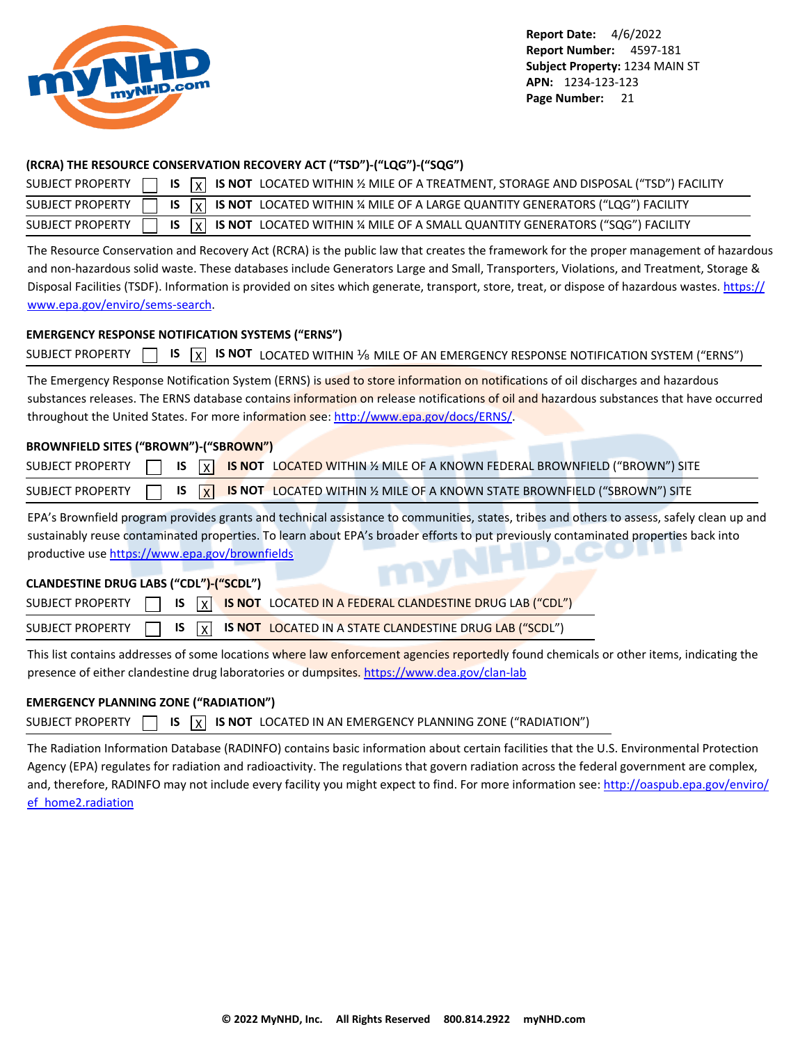<span id="page-21-0"></span>

### **(RCRA) THE RESOURCE CONSERVATION RECOVERY ACT ("TSD")-("LQG")-("SQG")**

|  |  | SUBJECT PROPERTY $\Box$ IS $\overline{X}$ IS NOT LOCATED WITHIN % MILE OF A TREATMENT, STORAGE AND DISPOSAL ("TSD") FACILITY |
|--|--|------------------------------------------------------------------------------------------------------------------------------|
|  |  | SUBJECT PROPERTY $\Box$ IS $\overline{X}$ IS NOT LOCATED WITHIN % MILE OF A LARGE QUANTITY GENERATORS ("LQG") FACILITY       |
|  |  | SUBJECT PROPERTY $\Box$ IS $\boxed{x}$ IS NOT LOCATED WITHIN % MILE OF A SMALL QUANTITY GENERATORS ("SQG") FACILITY          |

The Resource Conservation and Recovery Act (RCRA) is the public law that creates the framework for the proper management of hazardous and non-hazardous solid waste. These databases include Generators Large and Small, Transporters, Violations, and Treatment, Storage & Disposal Facilities (TSDF). Information is provided on sites which generate, transport, store, treat, or dispose of hazardous wastes. [https://](https://www.epa.gov/enviro/sems-search) [www.epa.gov/enviro/sems-search](https://www.epa.gov/enviro/sems-search).

### **EMERGENCY RESPONSE NOTIFICATION SYSTEMS ("ERNS")**

|  |  |  |  |  |  | SUBJECT PROPERTY $\Box$ IS $\boxed{X}$ IS NOT LOCATED WITHIN MILE OF AN EMERGENCY RESPONSE NOTIFICATION SYSTEM ("ERNS") |
|--|--|--|--|--|--|-------------------------------------------------------------------------------------------------------------------------|
|--|--|--|--|--|--|-------------------------------------------------------------------------------------------------------------------------|

The Emergency Response Notification System (ERNS) is used to store information on notifications of oil discharges and hazardous substances releases. The ERNS database contains information on release notifications of oil and hazardous substances that have occurred throughout the United States. For more information see:<http://www.epa.gov/docs/ERNS/>.

## **BROWNFIELD SITES ("BROWN")-("SBROWN")**

|  |  | SUBJECT PROPERTY $\Box$ IS $\overline{X}$ IS NOT LOCATED WITHIN % MILE OF A KNOWN FEDERAL BROWNFIELD ("BROWN") SITE |
|--|--|---------------------------------------------------------------------------------------------------------------------|
|  |  | SUBJECT PROPERTY $\Box$ IS $\overline{X}$ IS NOT LOCATED WITHIN % MILE OF A KNOWN STATE BROWNFIELD ("SBROWN") SITE  |

EPA's Brownfield program provides grants and technical assistance to communities, states, tribes and others to assess, safely clean up and sustainably reuse contaminated properties. To learn about EPA's broader efforts to put previously contaminated properties back into productive use<https://www.epa.gov/brownfields>

## **CLANDESTINE DRUG LABS ("CDL")-("SCDL")**

|  |  | SUBJECT PROPERTY $\Box$ IS $\boxed{X}$ IS NOT LOCATED IN A FEDERAL CLANDESTINE DRUG LAB ("CDL")   |
|--|--|---------------------------------------------------------------------------------------------------|
|  |  | SUBJECT PROPERTY $\Box$ IS $\overline{X}$ IS NOT LOCATED IN A STATE CLANDESTINE DRUG LAB ("SCDL") |

This list contains addresses of some locations where law enforcement agencies reportedly found chemicals or other items, indicating the presence of either clandestine drug laboratories or dumpsites.<https://www.dea.gov/clan-lab>

## **EMERGENCY PLANNING ZONE ("RADIATION")**

|  |  |  |  | SUBJECT PROPERTY $\Box$ IS $\overline{X}$ IS NOT LOCATED IN AN EMERGENCY PLANNING ZONE ("RADIATION") |  |
|--|--|--|--|------------------------------------------------------------------------------------------------------|--|
|--|--|--|--|------------------------------------------------------------------------------------------------------|--|

The Radiation Information Database (RADINFO) contains basic information about certain facilities that the U.S. Environmental Protection Agency (EPA) regulates for radiation and radioactivity. The regulations that govern radiation across the federal government are complex, and, therefore, RADINFO may not include every facility you might expect to find. For more information see: [http://oaspub.epa.gov/enviro/](http://oaspub.epa.gov/enviro/ef_home2.radiation) [ef\\_home2.radiation](http://oaspub.epa.gov/enviro/ef_home2.radiation)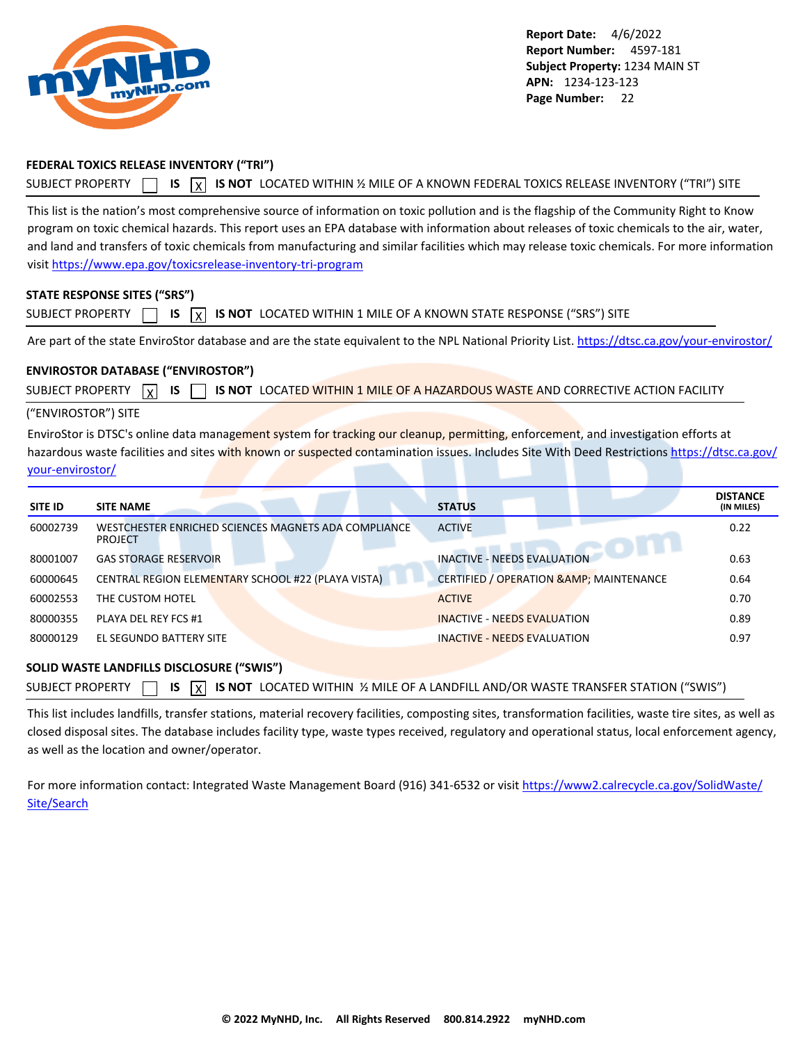<span id="page-22-0"></span>

### **FEDERAL TOXICS RELEASE INVENTORY ("TRI")**

SUBJECT PROPERTY **15** IS  $\overline{X}$  IS NOT LOCATED WITHIN 1/2 MILE OF A KNOWN FEDERAL TOXICS RELEASE INVENTORY ("TRI") SITE

This list is the nation's most comprehensive source of information on toxic pollution and is the flagship of the Community Right to Know program on toxic chemical hazards. This report uses an EPA database with information about releases of toxic chemicals to the air, water, and land and transfers of toxic chemicals from manufacturing and similar facilities which may release toxic chemicals. For more information visit<https://www.epa.gov/toxicsrelease-inventory-tri-program>

#### **STATE RESPONSE SITES ("SRS")**

| <b>SUBJECT PROPERTY</b> |  |  |  |  | <b>S</b> IS $\boxed{\chi}$ IS NOT LOCATED WITHIN 1 MILE OF A KNOWN STATE RESPONSE ("SRS") SITE |  |
|-------------------------|--|--|--|--|------------------------------------------------------------------------------------------------|--|
|-------------------------|--|--|--|--|------------------------------------------------------------------------------------------------|--|

Are part of the state EnviroStor database and are the state equivalent to the NPL National Priority List.<https://dtsc.ca.gov/your-envirostor/>

#### **ENVIROSTOR DATABASE ("ENVIROSTOR")**

SUBJECT PROPERTY  $\boxed{\chi}$  **IS**  $\boxed{\phantom{\chi}}$  **is not** located within 1 mile of a hazardous waste and corrective action facility

#### ("ENVIROSTOR") SITE

EnviroStor is DTSC's online data management system for tracking our cleanup, permitting, enforcement, and investigation efforts at hazardous waste facilities and sites with known or suspected contamination issues. Includes Site With Deed Restrictions [https://dtsc.ca.gov/](https://dtsc.ca.gov/your-envirostor/) [your-envirostor/](https://dtsc.ca.gov/your-envirostor/)

| <b>SITE ID</b> | <b>SITE NAME</b>                                                       | <b>STATUS</b>                                       | <b>DISTANCE</b><br>(IN MILES) |
|----------------|------------------------------------------------------------------------|-----------------------------------------------------|-------------------------------|
| 60002739       | WESTCHESTER ENRICHED SCIENCES MAGNETS ADA COMPLIANCE<br><b>PROJECT</b> | <b>ACTIVE</b>                                       | 0.22                          |
| 80001007       | <b>GAS STORAGE RESERVOIR</b>                                           | <b>INACTIVE - NEEDS EVALUATION</b>                  | 0.63                          |
| 60000645       | CENTRAL REGION ELEMENTARY SCHOOL #22 (PLAYA VISTA)                     | <b>CERTIFIED / OPERATION &amp; AMP; MAINTENANCE</b> | 0.64                          |
| 60002553       | THE CUSTOM HOTEL                                                       | <b>ACTIVE</b>                                       | 0.70                          |
| 80000355       | PLAYA DEL REY FCS #1                                                   | <b>INACTIVE - NEEDS EVALUATION</b>                  | 0.89                          |
| 80000129       | EL SEGUNDO BATTERY SITE                                                | <b>INACTIVE - NEEDS EVALUATION</b>                  | 0.97                          |

#### **SOLID WASTE LANDFILLS DISCLOSURE ("SWIS")**

| SUBJECT PROPERTY $\Box$ IS $\overline{X}$ IS NOT LOCATED WITHIN ½ MILE OF A LANDFILL AND/OR WASTE TRANSFER STATION ("SWIS") |  |  |  |  |  |  |  |  |  |  |  |  |
|-----------------------------------------------------------------------------------------------------------------------------|--|--|--|--|--|--|--|--|--|--|--|--|
|-----------------------------------------------------------------------------------------------------------------------------|--|--|--|--|--|--|--|--|--|--|--|--|

This list includes landfills, transfer stations, material recovery facilities, composting sites, transformation facilities, waste tire sites, as well as closed disposal sites. The database includes facility type, waste types received, regulatory and operational status, local enforcement agency, as well as the location and owner/operator.

For more information contact: Integrated Waste Management Board (916) 341-6532 or visit [https://www2.calrecycle.ca.gov/SolidWaste/](https://www2.calrecycle.ca.gov/SolidWaste/Site/Search) [Site/Search](https://www2.calrecycle.ca.gov/SolidWaste/Site/Search)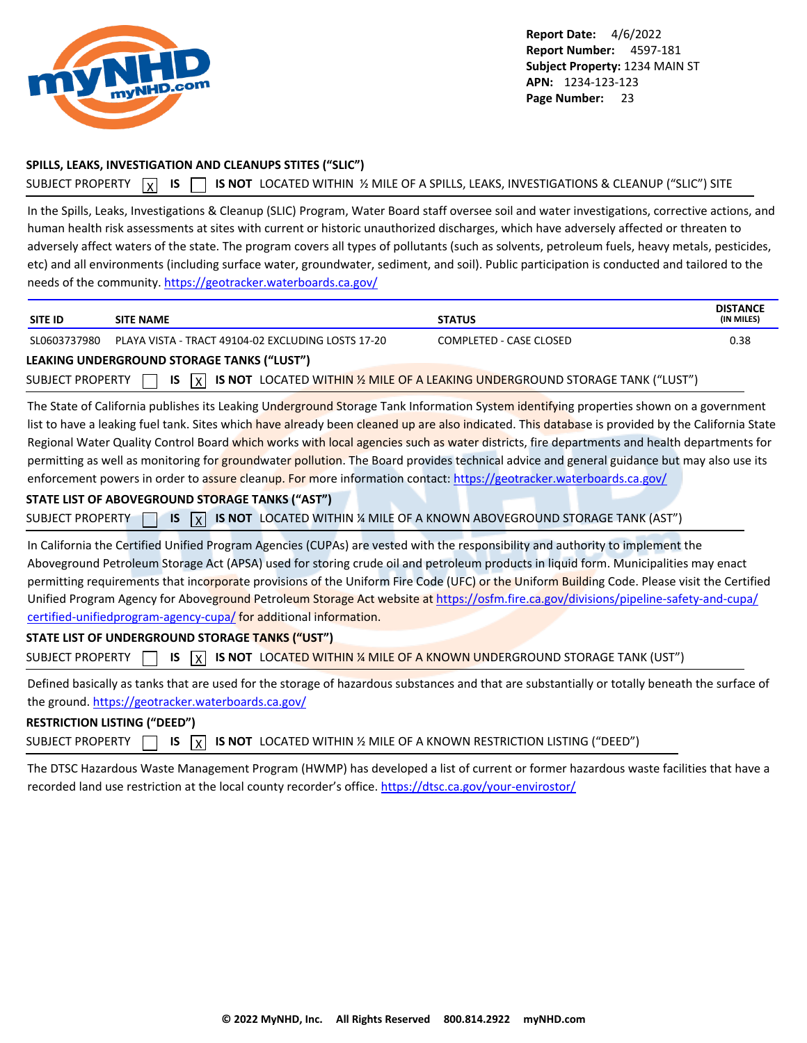<span id="page-23-0"></span>

### **SPILLS, LEAKS, INVESTIGATION AND CLEANUPS STITES ("SLIC")**

```
SUBJECT PROPERTY N IS CORPT IS NOT LOCATED WITHIN 1⁄2 MILE OF A SPILLS, LEAKS, INVESTIGATIONS & CLEANUP ("SLIC") SITE
```
In the Spills, Leaks, Investigations & Cleanup (SLIC) Program, Water Board staff oversee soil and water investigations, corrective actions, and human health risk assessments at sites with current or historic unauthorized discharges, which have adversely affected or threaten to adversely affect waters of the state. The program covers all types of pollutants (such as solvents, petroleum fuels, heavy metals, pesticides, etc) and all environments (including surface water, groundwater, sediment, and soil). Public participation is conducted and tailored to the needs of the community.<https://geotracker.waterboards.ca.gov/>

| <b>SITE ID</b>          | <b>SITE NAME</b>                                                                                                                                                                                                                                                                                                                                                                                                                                                                                                                                                                                                                                                                                                                                                                               | <b>STATUS</b>                                                                 | <b>DISTANCE</b><br>(IN MILES) |
|-------------------------|------------------------------------------------------------------------------------------------------------------------------------------------------------------------------------------------------------------------------------------------------------------------------------------------------------------------------------------------------------------------------------------------------------------------------------------------------------------------------------------------------------------------------------------------------------------------------------------------------------------------------------------------------------------------------------------------------------------------------------------------------------------------------------------------|-------------------------------------------------------------------------------|-------------------------------|
| SL0603737980            | PLAYA VISTA - TRACT 49104-02 EXCLUDING LOSTS 17-20                                                                                                                                                                                                                                                                                                                                                                                                                                                                                                                                                                                                                                                                                                                                             | COMPLETED - CASE CLOSED                                                       | 0.38                          |
|                         | LEAKING UNDERGROUND STORAGE TANKS ("LUST")                                                                                                                                                                                                                                                                                                                                                                                                                                                                                                                                                                                                                                                                                                                                                     |                                                                               |                               |
| <b>SUBJECT PROPERTY</b> | <b>IS</b><br>l x l                                                                                                                                                                                                                                                                                                                                                                                                                                                                                                                                                                                                                                                                                                                                                                             | IS NOT LOCATED WITHIN 1/2 MILE OF A LEAKING UNDERGROUND STORAGE TANK ("LUST") |                               |
| <b>SUBJECT PROPERTY</b> | The State of California publishes its Leaking Underground Storage Tank Information System identifying properties shown on a government<br>list to have a leaking fuel tank. Sites which have already been cleaned up are also indicated. This database is provided by the California State<br>Regional Water Quality Control Board which works with local agencies such as water districts, fire departments and health departments for<br>permitting as well as monitoring for groundwater pollution. The Board provides technical advice and general guidance but may also use its<br>enforcement powers in order to assure cleanup. For more information contact: https://geotracker.waterboards.ca.gov/<br>STATE LIST OF ABOVEGROUND STORAGE TANKS ("AST")<br><b>IS</b><br>$\vert x \vert$ | IS NOT LOCATED WITHIN % MILE OF A KNOWN ABOVEGROUND STORAGE TANK (AST")       |                               |
| <b>SUBJECT PROPERTY</b> | In California the Certified Unified Program Agencies (CUPAs) are vested with the responsibility and authority to implement the<br>Aboveground Petroleum Storage Act (APSA) used for storing crude oil and petroleum products in liquid form. Municipalities may enact<br>permitting requirements that incorporate provisions of the Uniform Fire Code (UFC) or the Uniform Building Code. Please visit the Certified<br>Unified Program Agency for Aboveground Petroleum Storage Act website at https://osfm.fire.ca.gov/divisions/pipeline-safety-and-cupa/<br>certified-unifiedprogram-agency-cupa/for additional information.<br>STATE LIST OF UNDERGROUND STORAGE TANKS ("UST")<br><b>IS</b><br>$\overline{\mathsf{x}}$                                                                    | IS NOT LOCATED WITHIN % MILE OF A KNOWN UNDERGROUND STORAGE TANK (UST")       |                               |
|                         | Defined basically as tanks that are used for the storage of hazardous substances and that are substantially or totally beneath the surface of<br>the ground. https://geotracker.waterboards.ca.gov/                                                                                                                                                                                                                                                                                                                                                                                                                                                                                                                                                                                            |                                                                               |                               |

# **RESTRICTION LISTING ("DEED")**

SUBJECT PROPERTY **15** IS **X IS NOT** LOCATED WITHIN % MILE OF A KNOWN RESTRICTION LISTING ("DEED")

The DTSC Hazardous Waste Management Program (HWMP) has developed a list of current or former hazardous waste facilities that have a recorded land use restriction at the local county recorder's office.<https://dtsc.ca.gov/your-envirostor/>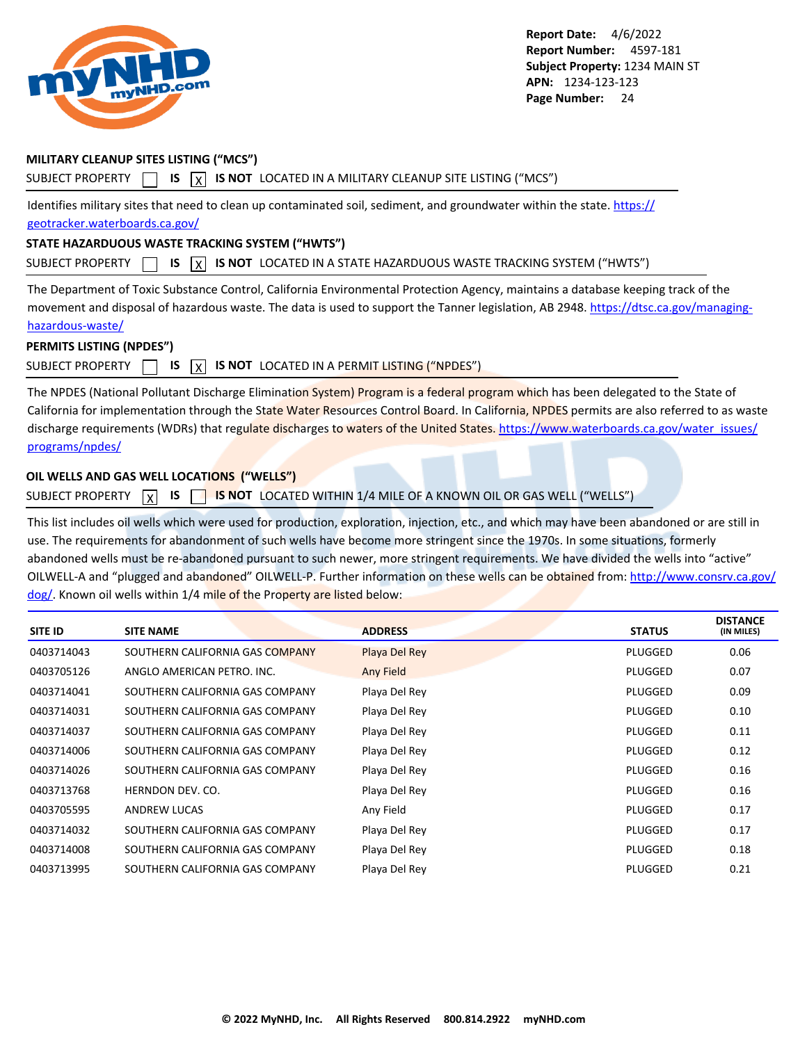<span id="page-24-0"></span>

### **MILITARY CLEANUP SITES LISTING ("MCS")**

SUBJECT PROPERTY  $\Box$  **IS**  $\chi$  **IS NOT** LOCATED IN A MILITARY CLEANUP SITE LISTING ("MCS")

Identifies military sites that need to clean up contaminated soil, sediment, and groundwater within the state. [https://](https://geotracker.waterboards.ca.gov/) [geotracker.waterboards.ca.gov/](https://geotracker.waterboards.ca.gov/)

#### **STATE HAZARDUOUS WASTE TRACKING SYSTEM ("HWTS")**

SUBJECT PROPERTY **15** IS **X** IS NOT LOCATED IN A STATE HAZARDUOUS WASTE TRACKING SYSTEM ("HWTS")

The Department of Toxic Substance Control, California Environmental Protection Agency, maintains a database keeping track of the movement and disposal of hazardous waste. The data is used to support the Tanner legislation, AB 2948. [https://dtsc.ca.gov/managing](https://dtsc.ca.gov/managing-hazardous-waste/)[hazardous-waste/](https://dtsc.ca.gov/managing-hazardous-waste/)

## **PERMITS LISTING (NPDES")**

### SUBJECT PROPERTY  $\Box$  **IS**  $\Box$  **IS NOT** LOCATED IN A PERMIT LISTING ("NPDES")

The NPDES (National Pollutant Discharge Elimination System) Program is a federal program which has been delegated to the State of California for implementation through the State Water Resources Control Board. In California, NPDES permits are also referred to as waste discharge requirements (WDRs) that regulate discharges to waters of the United States. [https://www.waterboards.ca.gov/water\\_issues/](https://www.waterboards.ca.gov/water_issues/programs/npdes/) [programs/npdes/](https://www.waterboards.ca.gov/water_issues/programs/npdes/)

### **OIL WELLS AND GAS WELL LOCATIONS ("WELLS")**

SUBJECT PROPERTY **X** IS **SUBJECT BY ANOT** LOCATED WITHIN 1/4 MILE OF A KNOWN OIL OR GAS WELL ("WELLS")

This list includes oil wells which were used for production, exploration, injection, etc., and which may have been abandoned or are still in use. The requirements for abandonment of such wells have become more stringent since the 1970s. In some situations, formerly abandoned wells must be re-abandoned pursuant to such newer, more stringent requirements. We have divided the wells into "active" OILWELL-A and "plugged and abandoned" OILWELL-P. Further information on these wells can be obtained from: [http://www.consrv.ca.gov/](http://www.consrv.ca.gov/dog/) [dog/.](http://www.consrv.ca.gov/dog/) Known oil wells within 1/4 mile of the Property are listed below:

| <b>SITE ID</b> | <b>SITE NAME</b>                | <b>ADDRESS</b> | <b>STATUS</b> | <b>DISTANCE</b><br>(IN MILES) |
|----------------|---------------------------------|----------------|---------------|-------------------------------|
| 0403714043     | SOUTHERN CALIFORNIA GAS COMPANY | Playa Del Rey  | PLUGGED       | 0.06                          |
| 0403705126     | ANGLO AMERICAN PETRO. INC.      | Any Field      | PLUGGED       | 0.07                          |
| 0403714041     | SOUTHERN CALIFORNIA GAS COMPANY | Playa Del Rey  | PLUGGED       | 0.09                          |
| 0403714031     | SOUTHERN CALIFORNIA GAS COMPANY | Playa Del Rey  | PLUGGED       | 0.10                          |
| 0403714037     | SOUTHERN CALIFORNIA GAS COMPANY | Playa Del Rey  | PLUGGED       | 0.11                          |
| 0403714006     | SOUTHERN CALIFORNIA GAS COMPANY | Playa Del Rey  | PLUGGED       | 0.12                          |
| 0403714026     | SOUTHERN CALIFORNIA GAS COMPANY | Playa Del Rey  | PLUGGED       | 0.16                          |
| 0403713768     | HERNDON DEV. CO.                | Playa Del Rey  | PLUGGED       | 0.16                          |
| 0403705595     | <b>ANDREW LUCAS</b>             | Any Field      | PLUGGED       | 0.17                          |
| 0403714032     | SOUTHERN CALIFORNIA GAS COMPANY | Playa Del Rey  | PLUGGED       | 0.17                          |
| 0403714008     | SOUTHERN CALIFORNIA GAS COMPANY | Playa Del Rey  | PLUGGED       | 0.18                          |
| 0403713995     | SOUTHERN CALIFORNIA GAS COMPANY | Playa Del Rey  | PLUGGED       | 0.21                          |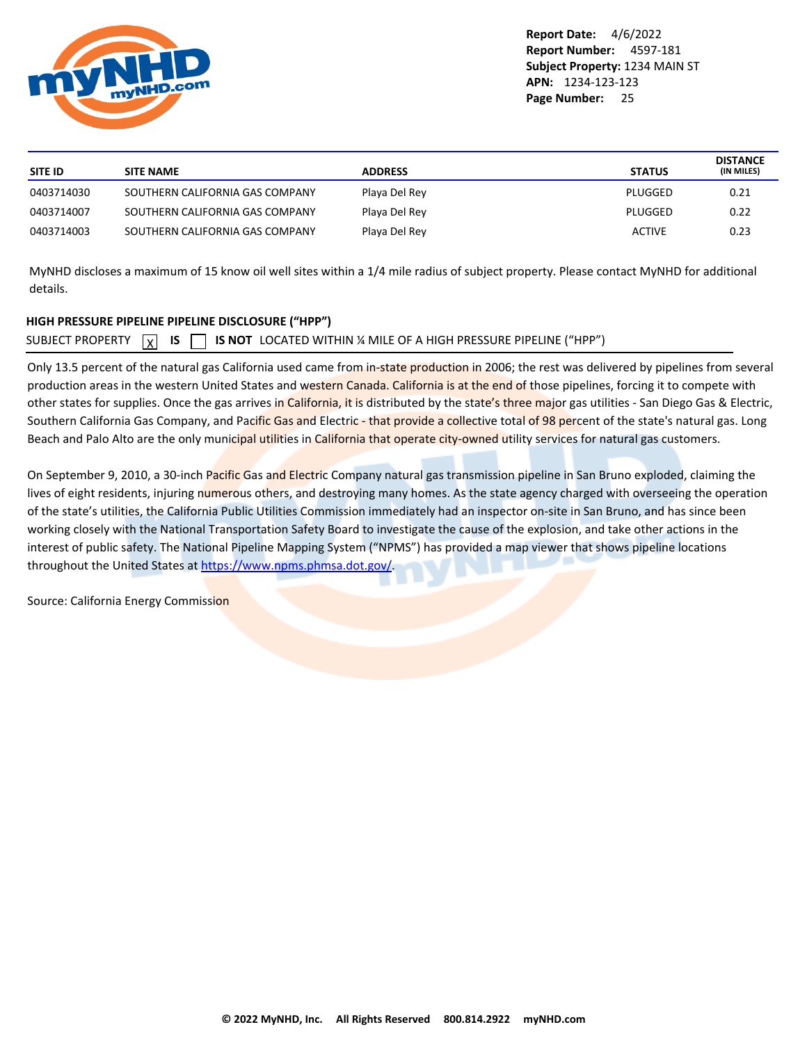<span id="page-25-0"></span>

| <b>ADDRESS</b>                                   | <b>STATUS</b> | <b>DISTANCE</b><br>(IN MILES) |
|--------------------------------------------------|---------------|-------------------------------|
| Playa Del Rey<br>SOUTHERN CALIFORNIA GAS COMPANY | PLUGGED       | 0.21                          |
| Playa Del Rey<br>SOUTHERN CALIFORNIA GAS COMPANY | PLUGGED       | 0.22                          |
| Playa Del Rey<br>SOUTHERN CALIFORNIA GAS COMPANY | <b>ACTIVE</b> | 0.23                          |
|                                                  |               |                               |

MyNHD discloses a maximum of 15 know oil well sites within a 1/4 mile radius of subject property. Please contact MyNHD for additional details.

### **HIGH PRESSURE PIPELINE PIPELINE DISCLOSURE ("HPP")**

SUBJECT PROPERTY  $\boxed{\chi}$ **IS IS NOT** LOCATED WITHIN ¼ MILE OF A HIGH PRESSURE PIPELINE ("HPP")

Only 13.5 percent of the natural gas California used came from in-state production in 2006; the rest was delivered by pipelines from several production areas in the western United States and western Canada. California is at the end of those pipelines, forcing it to compete with other states for supplies. Once the gas arrives in California, it is distributed by the state's three major gas utilities - San Diego Gas & Electric, Southern California Gas Company, and Pacific Gas and Electric - that provide a collective total of 98 percent of the state's natural gas. Long Beach and Palo Alto are the only municipal utilities in California that operate city-owned utility services for natural gas customers.

On September 9, 2010, a 30-inch Pacific Gas and Electric Company natural gas transmission pipeline in San Bruno exploded, claiming the lives of eight residents, injuring numerous others, and destroying many homes. As the state agency charged with overseeing the operation of the state's utilities, the California Public Utilities Commission immediately had an inspector on-site in San Bruno, and has since been working closely with the National Transportation Safety Board to investigate the cause of the explosion, and take other actions in the interest of public safety. The National Pipeline Mapping System ("NPMS") has provided a map viewer that shows pipeline locations throughout the United States at<https://www.npms.phmsa.dot.gov/>.

Source: California Energy Commission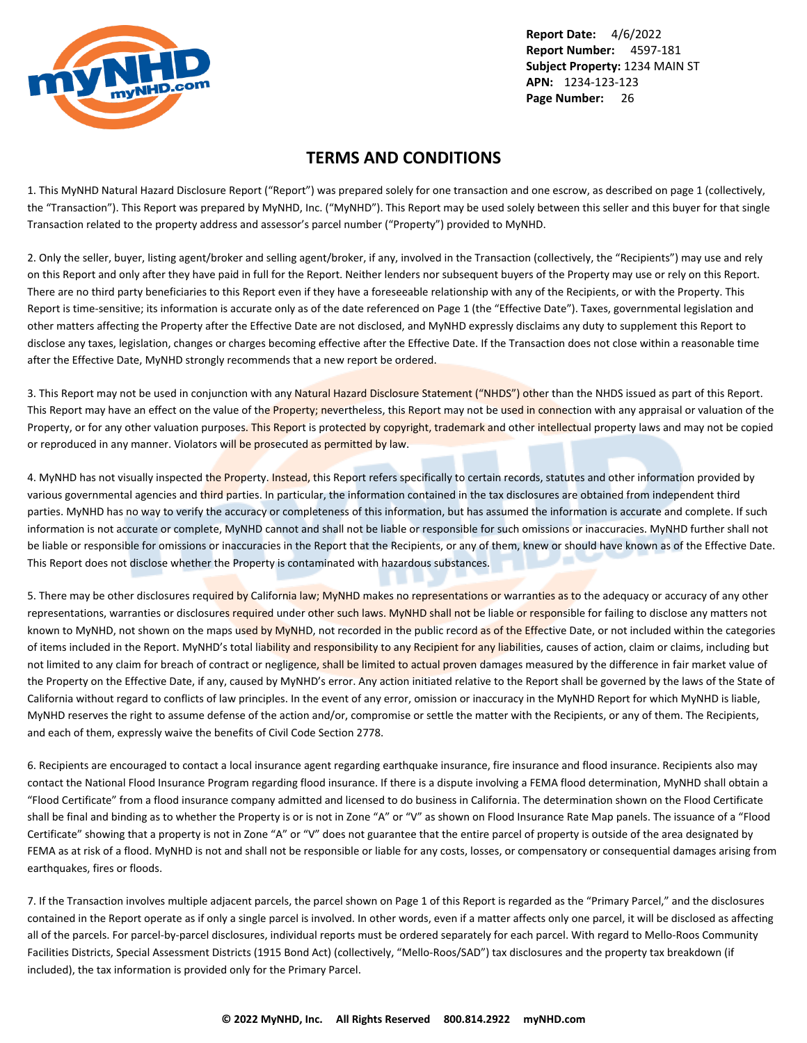<span id="page-26-0"></span>

## **TERMS AND CONDITIONS**

1. This MyNHD Natural Hazard Disclosure Report ("Report") was prepared solely for one transaction and one escrow, as described on page 1 (collectively, the "Transaction"). This Report was prepared by MyNHD, Inc. ("MyNHD"). This Report may be used solely between this seller and this buyer for that single Transaction related to the property address and assessor's parcel number ("Property") provided to MyNHD.

2. Only the seller, buyer, listing agent/broker and selling agent/broker, if any, involved in the Transaction (collectively, the "Recipients") may use and rely on this Report and only after they have paid in full for the Report. Neither lenders nor subsequent buyers of the Property may use or rely on this Report. There are no third party beneficiaries to this Report even if they have a foreseeable relationship with any of the Recipients, or with the Property. This Report is time-sensitive; its information is accurate only as of the date referenced on Page 1 (the "Effective Date"). Taxes, governmental legislation and other matters affecting the Property after the Effective Date are not disclosed, and MyNHD expressly disclaims any duty to supplement this Report to disclose any taxes, legislation, changes or charges becoming effective after the Effective Date. If the Transaction does not close within a reasonable time after the Effective Date, MyNHD strongly recommends that a new report be ordered.

3. This Report may not be used in conjunction with any Natural Hazard Disclosure Statement ("NHDS") other than the NHDS issued as part of this Report. This Report may have an effect on the value of the Property; nevertheless, this Report may not be used in connection with any appraisal or valuation of the Property, or for any other valuation purposes. This Report is protected by copyright, trademark and other intellectual property laws and may not be copied or reproduced in any manner. Violators will be prosecuted as permitted by law.

4. MyNHD has not visually inspected the Property. Instead, this Report refers specifically to certain records, statutes and other information provided by various governmental agencies and third parties. In particular, the information contained in the tax disclosures are obtained from independent third parties. MyNHD has no way to verify the accuracy or completeness of this information, but has assumed the information is accurate and complete. If such information is not accurate or complete, MyNHD cannot and shall not be liable or responsible for such omissions or inaccuracies. MyNHD further shall not be liable or responsible for omissions or inaccuracies in the Report that the Recipients, or any of them, knew or should have known as of the Effective Date. This Report does not disclose whether the Property is contaminated with hazardous substances.

5. There may be other disclosures required by California law; MyNHD makes no representations or warranties as to the adequacy or accuracy of any other representations, warranties or disclosures required under other such laws. MyNHD shall not be liable or responsible for failing to disclose any matters not known to MyNHD, not shown on the maps used by MyNHD, not recorded in the public record as of the Effective Date, or not included within the categories of items included in the Report. MyNHD's total liability and responsibility to any Recipient for any liabilities, causes of action, claim or claims, including but not limited to any claim for breach of contract or negligence, shall be limited to actual proven damages measured by the difference in fair market value of the Property on the Effective Date, if any, caused by MyNHD's error. Any action initiated relative to the Report shall be governed by the laws of the State of California without regard to conflicts of law principles. In the event of any error, omission or inaccuracy in the MyNHD Report for which MyNHD is liable, MyNHD reserves the right to assume defense of the action and/or, compromise or settle the matter with the Recipients, or any of them. The Recipients, and each of them, expressly waive the benefits of Civil Code Section 2778.

6. Recipients are encouraged to contact a local insurance agent regarding earthquake insurance, fire insurance and flood insurance. Recipients also may contact the National Flood Insurance Program regarding flood insurance. If there is a dispute involving a FEMA flood determination, MyNHD shall obtain a "Flood Certificate" from a flood insurance company admitted and licensed to do business in California. The determination shown on the Flood Certificate shall be final and binding as to whether the Property is or is not in Zone "A" or "V" as shown on Flood Insurance Rate Map panels. The issuance of a "Flood Certificate" showing that a property is not in Zone "A" or "V" does not guarantee that the entire parcel of property is outside of the area designated by FEMA as at risk of a flood. MyNHD is not and shall not be responsible or liable for any costs, losses, or compensatory or consequential damages arising from earthquakes, fires or floods.

7. If the Transaction involves multiple adjacent parcels, the parcel shown on Page 1 of this Report is regarded as the "Primary Parcel," and the disclosures contained in the Report operate as if only a single parcel is involved. In other words, even if a matter affects only one parcel, it will be disclosed as affecting all of the parcels. For parcel-by-parcel disclosures, individual reports must be ordered separately for each parcel. With regard to Mello-Roos Community Facilities Districts, Special Assessment Districts (1915 Bond Act) (collectively, "Mello-Roos/SAD") tax disclosures and the property tax breakdown (if included), the tax information is provided only for the Primary Parcel.